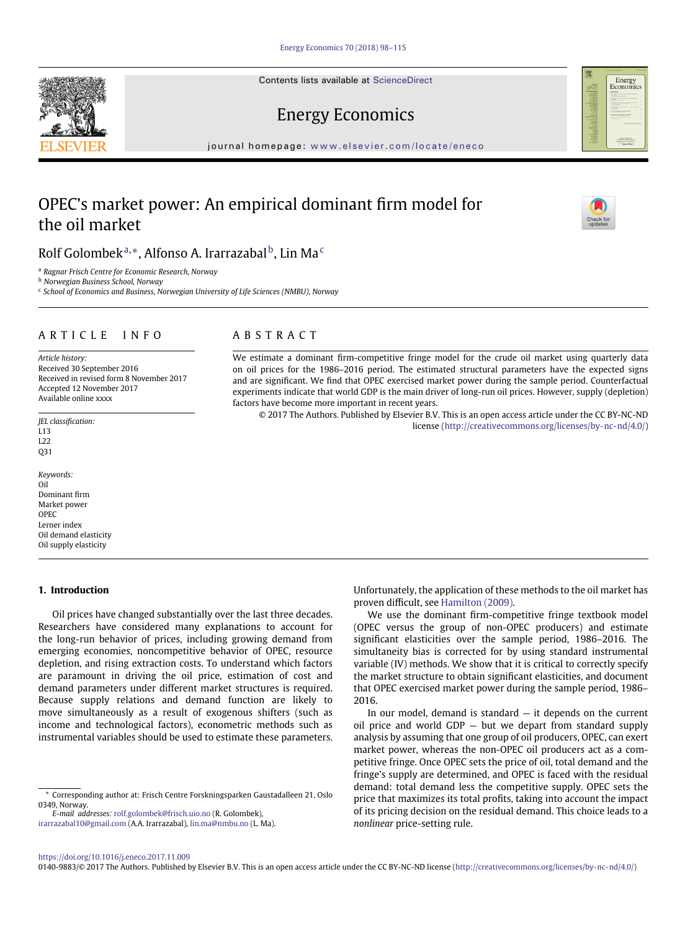Contents lists available at [ScienceDirect](http://www.ScienceDirect.com/)

# Energy Economics

journal homepage: [www.elsevier.com/locate/eneco](http://www.elsevier.com/locate/eneco)

# OPEC's market power: An empirical dominant firm model for the oil market

# Rolf Golombek $^{\mathrm{a},\ast}$ , Alfonso A. Irarrazabal $^{\mathrm{b}}$ , Lin Ma $^{\mathrm{c}}$

<span id="page-0-0"></span><sup>a</sup> *Ragnar Frisch Centre for Economic Research, Norway*

<span id="page-0-2"></span><sup>b</sup> *Norwegian Business School, Norway*

<span id="page-0-3"></span><sup>c</sup> *School of Economics and Business, Norwegian University of Life Sciences (NMBU), Norway*

## ARTICLE INFO

*Article history:* Received 30 September 2016 Received in revised form 8 November 2017 Accepted 12 November 2017 Available online xxxx

*JEL classification:* L13  $122$ Q31

*Keywords:* Oil Dominant firm Market power OPEC Lerner index Oil demand elasticity Oil supply elasticity

### **1. Introduction**

Oil prices have changed substantially over the last three decades. Researchers have considered many explanations to account for the long-run behavior of prices, including growing demand from emerging economies, noncompetitive behavior of OPEC, resource depletion, and rising extraction costs. To understand which factors are paramount in driving the oil price, estimation of cost and demand parameters under different market structures is required. Because supply relations and demand function are likely to move simultaneously as a result of exogenous shifters (such as income and technological factors), econometric methods such as instrumental variables should be used to estimate these parameters.

<span id="page-0-1"></span>\* Corresponding author at: Frisch Centre Forskningsparken Gaustadalleen 21, Oslo 0349, Norway.

*E-mail addresses:* [rolf.golombek@frisch.uio.no](mailto:rolf.golombek@frisch.uio.no) (R. Golombek),

[irarrazabal10@gmail.com](mailto:irarrazabal10@gmail.com) (A.A. Irarrazabal), [lin.ma@nmbu.no](mailto:lin.ma@nmbu.no) (L. Ma).

## ABSTRACT

We estimate a dominant firm-competitive fringe model for the crude oil market using quarterly data on oil prices for the 1986–2016 period. The estimated structural parameters have the expected signs and are significant. We find that OPEC exercised market power during the sample period. Counterfactual experiments indicate that world GDP is the main driver of long-run oil prices. However, supply (depletion) factors have become more important in recent years.

© 2017 The Authors. Published by Elsevier B.V. This is an open access article under the CC BY-NC-ND license [\(http://creativecommons.org/licenses/by-nc-nd/4.0/\)](http://creativecommons.org/licenses/by-nc-nd/4.0/)

> Unfortunately, the application of these methods to the oil market has proven difficult, see [Hamilton \(2009\).](#page-16-0)

> We use the dominant firm-competitive fringe textbook model (OPEC versus the group of non-OPEC producers) and estimate significant elasticities over the sample period, 1986–2016. The simultaneity bias is corrected for by using standard instrumental variable (IV) methods. We show that it is critical to correctly specify the market structure to obtain significant elasticities, and document that OPEC exercised market power during the sample period, 1986– 2016.

> In our model, demand is standard  $-$  it depends on the current oil price and world GDP — but we depart from standard supply analysis by assuming that one group of oil producers, OPEC, can exert market power, whereas the non-OPEC oil producers act as a competitive fringe. Once OPEC sets the price of oil, total demand and the fringe's supply are determined, and OPEC is faced with the residual demand: total demand less the competitive supply. OPEC sets the price that maximizes its total profits, taking into account the impact of its pricing decision on the residual demand. This choice leads to a *nonlinear* price-setting rule.

0140-9883/© 2017 The Authors. Published by Elsevier B.V. This is an open access article under the CC BY-NC-ND license [\(http://creativecommons.org/licenses/by-nc-nd/4.0/\)](http://creativecommons.org/licenses/by-nc-nd/4.0/)





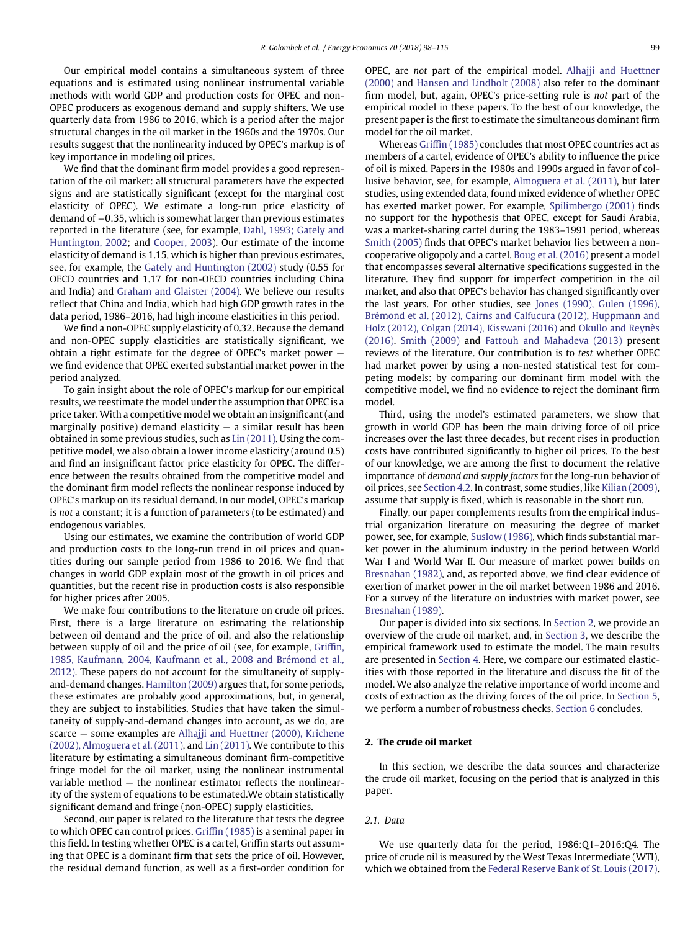Our empirical model contains a simultaneous system of three equations and is estimated using nonlinear instrumental variable methods with world GDP and production costs for OPEC and non-OPEC producers as exogenous demand and supply shifters. We use quarterly data from 1986 to 2016, which is a period after the major structural changes in the oil market in the 1960s and the 1970s. Our results suggest that the nonlinearity induced by OPEC's markup is of key importance in modeling oil prices.

We find that the dominant firm model provides a good representation of the oil market: all structural parameters have the expected signs and are statistically significant (except for the marginal cost elasticity of OPEC). We estimate a long-run price elasticity of demand of <sup>−</sup>0*.*35, which is somewhat larger than previous estimates [reported in the literature \(see, for example,](#page-16-1) Dahl, 1993; Gately and Huntington, 2002; and [Cooper, 2003\)](#page-16-2). Our estimate of the income elasticity of demand is 1.15, which is higher than previous estimates, see, for example, the [Gately and Huntington \(2002\)](#page-16-3) study (0.55 for OECD countries and 1.17 for non-OECD countries including China and India) and [Graham and Glaister \(2004\).](#page-16-4) We believe our results reflect that China and India, which had high GDP growth rates in the data period, 1986–2016, had high income elasticities in this period.

We find a non-OPEC supply elasticity of 0.32. Because the demand and non-OPEC supply elasticities are statistically significant, we obtain a tight estimate for the degree of OPEC's market power we find evidence that OPEC exerted substantial market power in the period analyzed.

To gain insight about the role of OPEC's markup for our empirical results, we reestimate the model under the assumption that OPEC is a price taker. With a competitive model we obtain an insignificant (and marginally positive) demand elasticity  $-$  a similar result has been obtained in some previous studies, such as [Lin \(2011\).](#page-17-0) Using the competitive model, we also obtain a lower income elasticity (around 0.5) and find an insignificant factor price elasticity for OPEC. The difference between the results obtained from the competitive model and the dominant firm model reflects the nonlinear response induced by OPEC's markup on its residual demand. In our model, OPEC's markup is *not* a constant; it is a function of parameters (to be estimated) and endogenous variables.

Using our estimates, we examine the contribution of world GDP and production costs to the long-run trend in oil prices and quantities during our sample period from 1986 to 2016. We find that changes in world GDP explain most of the growth in oil prices and quantities, but the recent rise in production costs is also responsible for higher prices after 2005.

We make four contributions to the literature on crude oil prices. First, there is a large literature on estimating the relationship between oil demand and the price of oil, and also the relationship between supply of oil and the price of oil (see, for example, Griffin, [1985, Kaufmann, 2004, Kaufmann et al., 2008 and Brémond et al.,](#page-16-5) 2012). These papers do not account for the simultaneity of supplyand-demand changes. [Hamilton \(2009\)](#page-16-0) argues that, for some periods, these estimates are probably good approximations, but, in general, they are subject to instabilities. Studies that have taken the simultaneity of supply-and-demand changes into account, as we do, are scarce — some examples are [Alhajji and Huettner \(2000\), Krichene](#page-16-6) (2002), Almoguera et al. (2011), and [Lin \(2011\).](#page-17-0) We contribute to this literature by estimating a simultaneous dominant firm-competitive fringe model for the oil market, using the nonlinear instrumental variable method — the nonlinear estimator reflects the nonlinearity of the system of equations to be estimated.We obtain statistically significant demand and fringe (non-OPEC) supply elasticities.

Second, our paper is related to the literature that tests the degree to which OPEC can control prices. [Griffin \(1985\)](#page-16-5) is a seminal paper in this field. In testing whether OPEC is a cartel, Griffin starts out assuming that OPEC is a dominant firm that sets the price of oil. However, the residual demand function, as well as a first-order condition for OPEC, are *not* [part of the empirical model.](#page-16-6) Alhajji and Huettner (2000) and [Hansen and Lindholt \(2008\)](#page-16-7) also refer to the dominant firm model, but, again, OPEC's price-setting rule is *not* part of the empirical model in these papers. To the best of our knowledge, the present paper is the first to estimate the simultaneous dominant firm model for the oil market.

Whereas [Griffin \(1985\)](#page-16-5) concludes that most OPEC countries act as members of a cartel, evidence of OPEC's ability to influence the price of oil is mixed. Papers in the 1980s and 1990s argued in favor of collusive behavior, see, for example, [Almoguera et al. \(2011\),](#page-16-8) but later studies, using extended data, found mixed evidence of whether OPEC has exerted market power. For example, [Spilimbergo \(2001\)](#page-17-1) finds no support for the hypothesis that OPEC, except for Saudi Arabia, was a market-sharing cartel during the 1983–1991 period, whereas [Smith \(2005\)](#page-17-2) finds that OPEC's market behavior lies between a noncooperative oligopoly and a cartel. [Boug et al. \(2016\)](#page-16-9) present a model that encompasses several alternative specifications suggested in the literature. They find support for imperfect competition in the oil market, and also that OPEC's behavior has changed significantly over the last years. For other studies, see Jones (1990), Gulen (1996), [Brémond et al. \(2012\), Cairns and Calfucura \(2012\), Huppmann and](#page-16-10) [Holz \(2012\), Colgan \(2014\), Kisswani \(2016\)](#page-17-3) and Okullo and Reynès (2016). Smith [\(2009\)](#page-17-4) and [Fattouh and Mahadeva \(2013\)](#page-16-11) present reviews of the literature. Our contribution is to *test* whether OPEC had market power by using a non-nested statistical test for competing models: by comparing our dominant firm model with the competitive model, we find no evidence to reject the dominant firm model.

Third, using the model's estimated parameters, we show that growth in world GDP has been the main driving force of oil price increases over the last three decades, but recent rises in production costs have contributed significantly to higher oil prices. To the best of our knowledge, we are among the first to document the relative importance of *demand and supply factors* for the long-run behavior of oil prices, see [Section 4.2.](#page-8-0) In contrast, some studies, like [Kilian \(2009\),](#page-16-12) assume that supply is fixed, which is reasonable in the short run.

Finally, our paper complements results from the empirical industrial organization literature on measuring the degree of market power, see, for example, [Suslow \(1986\),](#page-17-5) which finds substantial market power in the aluminum industry in the period between World War I and World War II. Our measure of market power builds on [Bresnahan \(1982\),](#page-16-13) and, as reported above, we find clear evidence of exertion of market power in the oil market between 1986 and 2016. For a survey of the literature on industries with market power, see [Bresnahan \(1989\).](#page-16-14)

Our paper is divided into six sections. In [Section 2,](#page-1-0) we provide an overview of the crude oil market, and, in [Section 3,](#page-2-0) we describe the empirical framework used to estimate the model. The main results are presented in [Section 4.](#page-6-0) Here, we compare our estimated elasticities with those reported in the literature and discuss the fit of the model. We also analyze the relative importance of world income and costs of extraction as the driving forces of the oil price. In [Section 5,](#page-11-0) we perform a number of robustness checks. [Section 6](#page-14-0) concludes.

## <span id="page-1-0"></span>**2. The crude oil market**

In this section, we describe the data sources and characterize the crude oil market, focusing on the period that is analyzed in this paper.

## *2.1. Data*

We use quarterly data for the period, 1986:Q1–2016:Q4. The price of crude oil is measured by the West Texas Intermediate (WTI), which we obtained from the [Federal Reserve Bank of St. Louis \(2017\).](#page-16-15)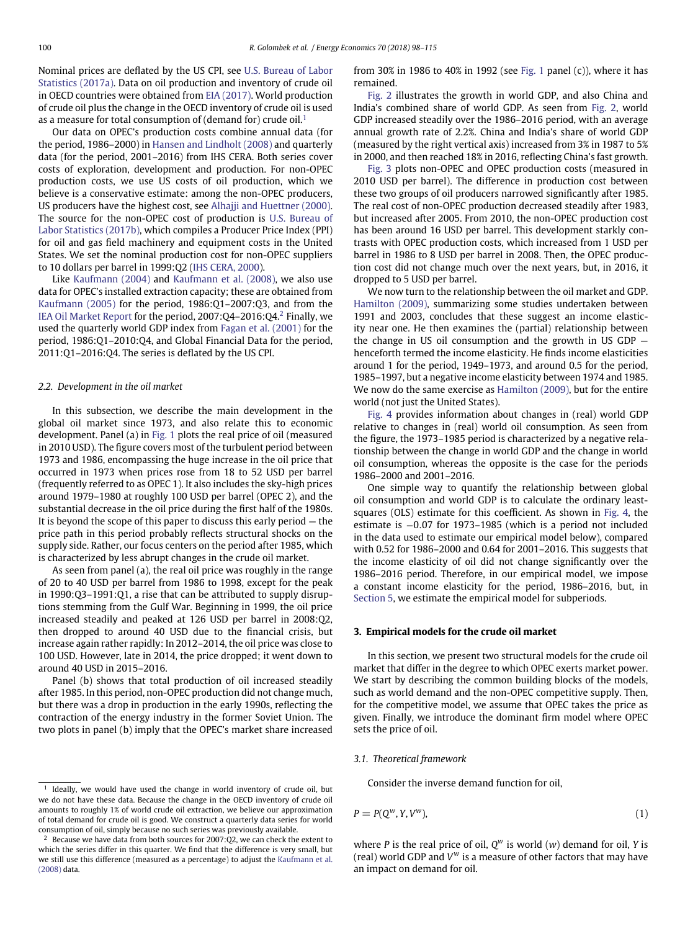Nominal prices are deflated by the US CPI, see U.S. Bureau of Labor [Statistics \(2017a\). Data on oil production and inventory of crude oil](#page-17-6) in OECD countries were obtained from [EIA \(2017\).](#page-16-16) World production of crude oil plus the change in the OECD inventory of crude oil is used as a measure for total consumption of (demand for) crude oil.<sup>[1](#page-2-1)</sup>

Our data on OPEC's production costs combine annual data (for the period, 1986–2000) in [Hansen and Lindholt \(2008\)](#page-16-7) and quarterly data (for the period, 2001–2016) from IHS CERA. Both series cover costs of exploration, development and production. For non-OPEC production costs, we use US costs of oil production, which we believe is a conservative estimate: among the non-OPEC producers, US producers have the highest cost, see [Alhajji and Huettner \(2000\).](#page-16-6) The source for the non-OPEC cost of production is U.S. Bureau of [Labor Statistics \(2017b\), which compiles a Producer Price Index \(PPI\)](#page-17-7) for oil and gas field machinery and equipment costs in the United States. We set the nominal production cost for non-OPEC suppliers to 10 dollars per barrel in 1999:Q2 [\(IHS CERA, 2000\)](#page-16-17).

Like [Kaufmann \(2004\)](#page-16-18) and [Kaufmann et al. \(2008\),](#page-16-19) we also use data for OPEC's installed extraction capacity; these are obtained from [Kaufmann \(2005\)](#page-16-20) for the period, 1986:Q1–2007:Q3, and from the [IEA Oil Market Report](#page-16-21) for the period, 2007:Q4–2016:Q4[.2](#page-2-2) Finally, we used the quarterly world GDP index from [Fagan et al. \(2001\)](#page-16-22) for the period, 1986:Q1–2010:Q4, and Global Financial Data for the period, 2011:Q1–2016:Q4. The series is deflated by the US CPI.

## *2.2. Development in the oil market*

In this subsection, we describe the main development in the global oil market since 1973, and also relate this to economic development. Panel (a) in [Fig. 1](#page-3-0) plots the real price of oil (measured in 2010 USD). The figure covers most of the turbulent period between 1973 and 1986, encompassing the huge increase in the oil price that occurred in 1973 when prices rose from 18 to 52 USD per barrel (frequently referred to as OPEC 1). It also includes the sky-high prices around 1979–1980 at roughly 100 USD per barrel (OPEC 2), and the substantial decrease in the oil price during the first half of the 1980s. It is beyond the scope of this paper to discuss this early period — the price path in this period probably reflects structural shocks on the supply side. Rather, our focus centers on the period after 1985, which is characterized by less abrupt changes in the crude oil market.

As seen from panel (a), the real oil price was roughly in the range of 20 to 40 USD per barrel from 1986 to 1998, except for the peak in 1990:Q3–1991:Q1, a rise that can be attributed to supply disruptions stemming from the Gulf War. Beginning in 1999, the oil price increased steadily and peaked at 126 USD per barrel in 2008:Q2, then dropped to around 40 USD due to the financial crisis, but increase again rather rapidly: In 2012–2014, the oil price was close to 100 USD. However, late in 2014, the price dropped; it went down to around 40 USD in 2015–2016.

Panel (b) shows that total production of oil increased steadily after 1985. In this period, non-OPEC production did not change much, but there was a drop in production in the early 1990s, reflecting the contraction of the energy industry in the former Soviet Union. The two plots in panel (b) imply that the OPEC's market share increased from 30% in 1986 to 40% in 1992 (see [Fig. 1](#page-3-0) panel (c)), where it has remained.

[Fig. 2](#page-4-0) illustrates the growth in world GDP, and also China and India's combined share of world GDP. As seen from [Fig. 2,](#page-4-0) world GDP increased steadily over the 1986–2016 period, with an average annual growth rate of 2.2%. China and India's share of world GDP (measured by the right vertical axis) increased from 3% in 1987 to 5% in 2000, and then reached 18% in 2016, reflecting China's fast growth.

[Fig. 3](#page-4-1) plots non-OPEC and OPEC production costs (measured in 2010 USD per barrel). The difference in production cost between these two groups of oil producers narrowed significantly after 1985. The real cost of non-OPEC production decreased steadily after 1983, but increased after 2005. From 2010, the non-OPEC production cost has been around 16 USD per barrel. This development starkly contrasts with OPEC production costs, which increased from 1 USD per barrel in 1986 to 8 USD per barrel in 2008. Then, the OPEC production cost did not change much over the next years, but, in 2016, it dropped to 5 USD per barrel.

We now turn to the relationship between the oil market and GDP. [Hamilton \(2009\),](#page-16-0) summarizing some studies undertaken between 1991 and 2003, concludes that these suggest an income elasticity near one. He then examines the (partial) relationship between the change in US oil consumption and the growth in US GDP  $$ henceforth termed the income elasticity. He finds income elasticities around 1 for the period, 1949–1973, and around 0.5 for the period, 1985–1997, but a negative income elasticity between 1974 and 1985. We now do the same exercise as [Hamilton \(2009\),](#page-16-0) but for the entire world (not just the United States).

[Fig. 4](#page-5-0) provides information about changes in (real) world GDP relative to changes in (real) world oil consumption. As seen from the figure, the 1973–1985 period is characterized by a negative relationship between the change in world GDP and the change in world oil consumption, whereas the opposite is the case for the periods 1986–2000 and 2001–2016.

One simple way to quantify the relationship between global oil consumption and world GDP is to calculate the ordinary leastsquares (OLS) estimate for this coefficient. As shown in [Fig. 4,](#page-5-0) the estimate is −0*.*07 for 1973–1985 (which is a period not included in the data used to estimate our empirical model below), compared with 0.52 for 1986–2000 and 0.64 for 2001–2016. This suggests that the income elasticity of oil did not change significantly over the 1986–2016 period. Therefore, in our empirical model, we impose a constant income elasticity for the period, 1986–2016, but, in [Section 5,](#page-11-0) we estimate the empirical model for subperiods.

#### <span id="page-2-0"></span>**3. Empirical models for the crude oil market**

In this section, we present two structural models for the crude oil market that differ in the degree to which OPEC exerts market power. We start by describing the common building blocks of the models, such as world demand and the non-OPEC competitive supply. Then, for the competitive model, we assume that OPEC takes the price as given. Finally, we introduce the dominant firm model where OPEC sets the price of oil.

#### <span id="page-2-3"></span>*3.1. Theoretical framework*

Consider the inverse demand function for oil,

$$
P = P(Q^w, Y, V^w),\tag{1}
$$

where *P* is the real price of oil, *Q<sup>w</sup>* is world (*w*) demand for oil, *Y* is (real) world GDP and  $V^w$  is a measure of other factors that may have an impact on demand for oil.

<span id="page-2-1"></span> $1$  Ideally, we would have used the change in world inventory of crude oil, but we do not have these data. Because the change in the OECD inventory of crude oil amounts to roughly 1% of world crude oil extraction, we believe our approximation of total demand for crude oil is good. We construct a quarterly data series for world consumption of oil, simply because no such series was previously available.

<span id="page-2-2"></span><sup>&</sup>lt;sup>2</sup> Because we have data from both sources for 2007:Q2, we can check the extent to which the series differ in this quarter. We find that the difference is very small, but [we still use this difference \(measured as a percentage\) to adjust the](#page-16-19) Kaufmann et al. (2008) data.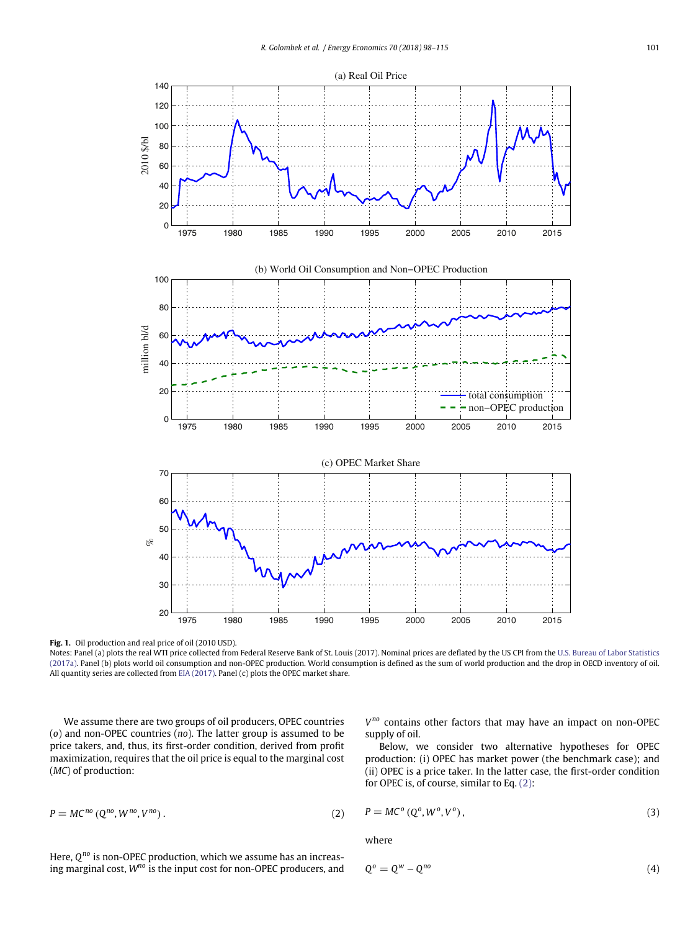

<span id="page-3-0"></span>**Fig. 1.** Oil production and real price of oil (2010 USD).

Notes: Panel (a) plots the real WTI price collected from Federal Reserve Bank of St. Louis (2017). Nominal prices are deflated by the US CPI from the U.S. Bureau of Labor Statistics [\(2017a\). Panel \(b\) plots world oil consumption and non-OPEC production. World consumption is defined as the sum of world production and the drop in OECD inventory of oil.](#page-17-6) All quantity series are collected from [EIA \(2017\).](#page-16-16) Panel (c) plots the OPEC market share.

We assume there are two groups of oil producers, OPEC countries (*o*) and non-OPEC countries (*no*). The latter group is assumed to be price takers, and, thus, its first-order condition, derived from profit maximization, requires that the oil price is equal to the marginal cost (*MC*) of production:

 $P = MC^{no}(Q^{no}, W^{no}, V^{no})$ . (2)

Here, *Qno* is non-OPEC production, which we assume has an increasing marginal cost, *Wno* is the input cost for non-OPEC producers, and *Vno* contains other factors that may have an impact on non-OPEC supply of oil.

Below, we consider two alternative hypotheses for OPEC production: (i) OPEC has market power (the benchmark case); and (ii) OPEC is a price taker. In the latter case, the first-order condition for OPEC is, of course, similar to Eq. [\(2\):](#page-3-1)

<span id="page-3-1"></span>
$$
P = MC^{no} (Q^{no}, W^{no}, V^{no}). \tag{2}
$$

 $P = MC^{\circ}(Q^{\circ}, W^{\circ}, V^{\circ}),$ *)*, (3)

where

$$
Q^o = Q^w - Q^{no}
$$
 (4)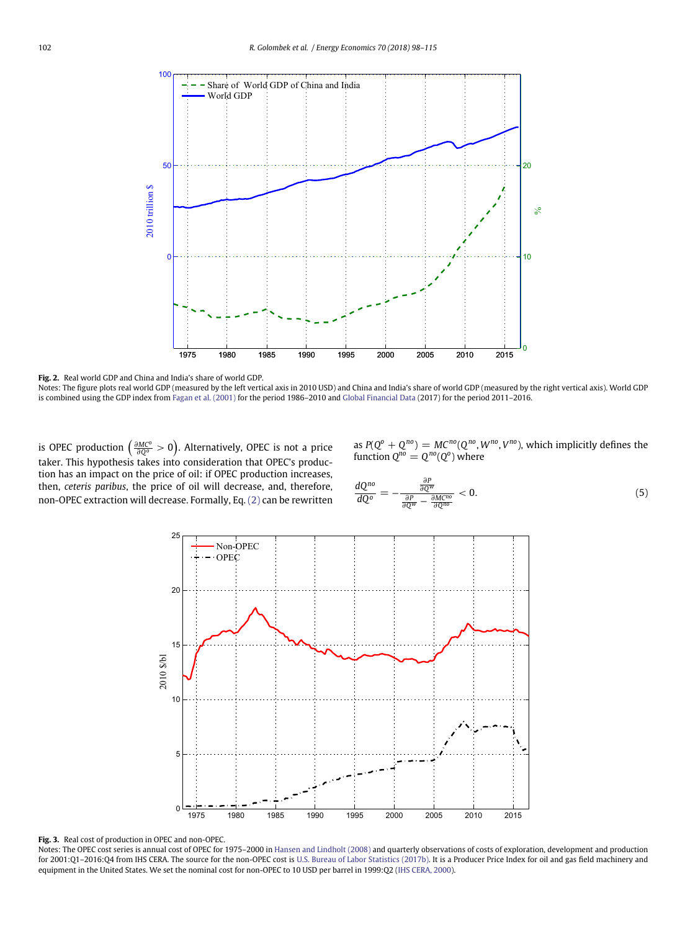

<span id="page-4-0"></span>**Fig. 2.** Real world GDP and China and India's share of world GDP.

Notes: The figure plots real world GDP (measured by the left vertical axis in 2010 USD) and China and India's share of world GDP (measured by the right vertical axis). World GDP is combined using the GDP index from [Fagan et al. \(2001\)](#page-16-22) for the period 1986–2010 and [Global Financial Data](#page-16-23) (2017) for the period 2011–2016.

is OPEC production  $\left(\frac{\partial MC^o}{\partial Q^o}>0\right)$ . Alternatively, OPEC is not a price taker. This hypothesis takes into consideration that OPEC's production has an impact on the price of oil: if OPEC production increases, then, *ceteris paribus*, the price of oil will decrease, and, therefore, non-OPEC extraction will decrease. Formally, Eq. [\(2\)](#page-3-1) can be rewritten

as  $P(Q^o + Q^{no}) = MC^{no}(Q^{no}, W^{no}, V^{no})$ , which implicitly defines the function  $Q^{no} = Q^{no}(Q^o)$  where

<span id="page-4-2"></span>
$$
\frac{dQ^{no}}{dQ^{o}} = -\frac{\frac{\partial P}{\partial Q^{w}}}{\frac{\partial P}{\partial Q^{w}} - \frac{\partial M C^{no}}{\partial Q^{no}}} < 0.
$$
\n(5)



<span id="page-4-1"></span>**Fig. 3.** Real cost of production in OPEC and non-OPEC.

Notes: The OPEC cost series is annual cost of OPEC for 1975–2000 in [Hansen and Lindholt \(2008\)](#page-16-7) and quarterly observations of costs of exploration, development and production for 2001:Q1–2016:Q4 from IHS CERA. The source for the non-OPEC cost is [U.S. Bureau of Labor Statistics \(2017b\).](#page-17-7) It is a Producer Price Index for oil and gas field machinery and equipment in the United States. We set the nominal cost for non-OPEC to 10 USD per barrel in 1999:Q2 [\(IHS CERA, 2000\)](#page-16-17).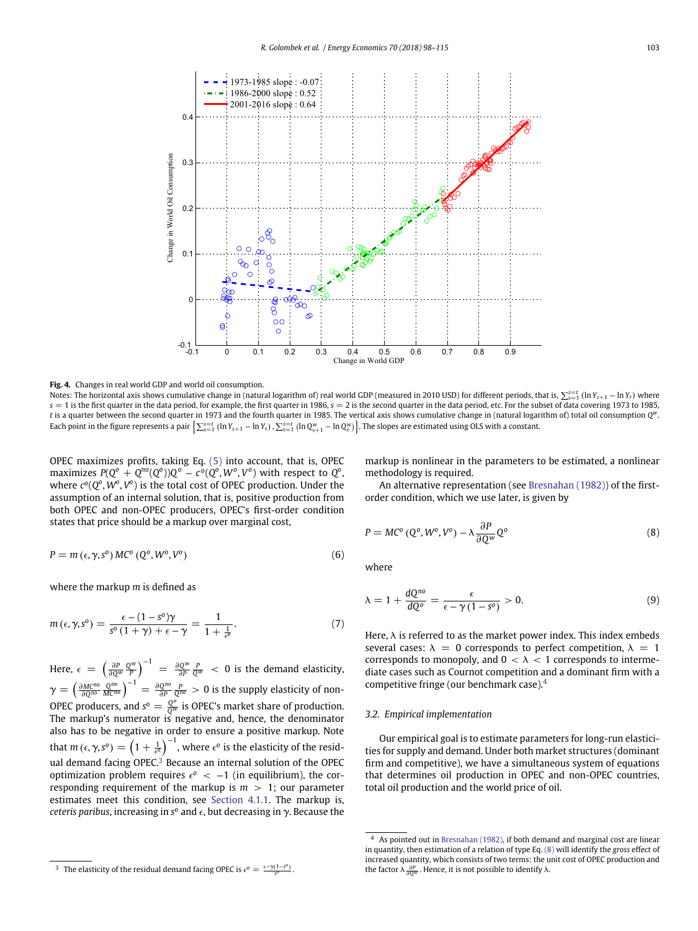

<span id="page-5-0"></span>**Fig. 4.** Changes in real world GDP and world oil consumption.

Notes: The horizontal axis shows cumulative change in (natural logarithm of) real world GDP (measured in 2010 USD) for different periods, that is,  $\sum_{s=1}^{s=r}$  (In  $Y_{s+1}$  – In  $Y_s$ ) where  $s = 1$  is the first quarter in the data period, for example, the first quarter in 1986,  $s = 2$  is the second quarter in the data period, etc. For the subset of data covering 1973 to 1985, *t* is a quarter between the second quarter in 1973 and the fourth quarter in 1985. The vertical axis shows cumulative change in (natural logarithm of) total oil consumption *Qw*. Each point in the figure represents a pair  $\left\{\sum_{s=1}^{s=t}(\ln Y_{s+1}-\ln Y_s),\sum_{s=1}^{s=t}(\ln Q_{s+1}^w-\ln Q_s^w)\right\}$ . The slopes are estimated using OLS with a constant.

OPEC maximizes profits, taking Eq. [\(5\)](#page-4-2) into account, that is, OPEC  $\max$ imizes  $P(Q^o + Q^{no}(Q^o))Q^o - c^o(Q^o, W^o, V^o)$  with respect to  $Q^o$ , where  $c^o(Q^o, W^o, V^o)$  is the total cost of OPEC production. Under the assumption of an internal solution, that is, positive production from both OPEC and non-OPEC producers, OPEC's first-order condition states that price should be a markup over marginal cost,

$$
P = m (\epsilon, \gamma, s^{\circ}) MC^{\circ} (Q^{\circ}, W^{\circ}, V^{\circ})
$$
\n(6)

where the markup *m* is defined as

<span id="page-5-6"></span>
$$
m\left(\epsilon,\gamma,s^{\circ}\right)=\frac{\epsilon-(1-s^{\circ})\gamma}{s^{\circ}\left(1+\gamma\right)+\epsilon-\gamma}=\frac{1}{1+\frac{1}{\epsilon^{\circ}}}. \tag{7}
$$

Here,  $\epsilon = \left(\frac{\partial P}{\partial Q^w}\frac{Q^w}{P}\right)^{-1} = \frac{\partial Q^w}{\partial P}\frac{P}{Q^w} < 0$  is the demand elasticity,  $\gamma = \left(\frac{\partial M^{C^{n_0}}}{\partial Q^{n_0}} \frac{Q^{n_0}}{M^{C^{n_0}}}\right)^{-1} = \frac{\partial Q^{n_0}}{\partial P} \frac{P}{Q^{n_0}} > 0$  is the supply elasticity of non-OPEC producers, and  $s^o = \frac{Q^o}{Q^w}$  is OPEC's market share of production. The markup's numerator is negative and, hence, the denominator also has to be negative in order to ensure a positive markup. Note that  $m\left(\epsilon,\gamma,s^{o}\right)=\left(1+\frac{1}{\epsilon^{o}}\right)^{-1}$ , where  $\epsilon^{o}$  is the elasticity of the resid-ual demand facing OPEC.<sup>[3](#page-5-1)</sup> Because an internal solution of the OPEC optimization problem requires  $\epsilon^0$  <  $-1$  (in equilibrium), the corresponding requirement of the markup is *m >* 1; our parameter estimates meet this condition, see [Section 4.1.1.](#page-7-0) The markup is, *ceteris paribus*, increasing in  $s^{\circ}$  and  $\epsilon$ , but decreasing in  $\gamma$ . Because the markup is nonlinear in the parameters to be estimated, a nonlinear methodology is required.

An alternative representation (see [Bresnahan \(1982\)\)](#page-16-13) of the firstorder condition, which we use later, is given by

<span id="page-5-4"></span><span id="page-5-3"></span>
$$
P = MC^o (Q^o, W^o, V^o) - \lambda \frac{\partial P}{\partial Q^w} Q^o
$$
 (8)

<span id="page-5-5"></span>where

$$
\lambda = 1 + \frac{dQ^{no}}{dQ^o} = \frac{\epsilon}{\epsilon - \gamma (1 - s^o)} > 0. \tag{9}
$$

Here,  $\lambda$  is referred to as the market power index. This index embeds several cases:  $\lambda = 0$  corresponds to perfect competition,  $\lambda = 1$ corresponds to monopoly, and  $0 < \lambda < 1$  corresponds to intermediate cases such as Cournot competition and a dominant firm with a competitive fringe (our benchmark case).[4](#page-5-2)

## *3.2. Empirical implementation*

Our empirical goal is to estimate parameters for long-run elasticities for supply and demand. Under both market structures (dominant firm and competitive), we have a simultaneous system of equations that determines oil production in OPEC and non-OPEC countries, total oil production and the world price of oil.

<span id="page-5-1"></span>The elasticity of the residual demand facing OPEC is  $\epsilon^0 = \frac{\epsilon - \gamma (1 - s^0)}{s^0}$ .

<span id="page-5-2"></span><sup>4</sup> As pointed out in [Bresnahan \(1982\),](#page-16-13) if both demand and marginal cost are linear in quantity, then estimation of a relation of type Eq. [\(8\)](#page-5-3) will identify the *gross* effect of increased quantity, which consists of two terms: the unit cost of OPEC production and the factor *k <sup>∂</sup><sup>P</sup> <sup>∂</sup>Q<sup>w</sup>* . Hence, it is not possible to identify *k*.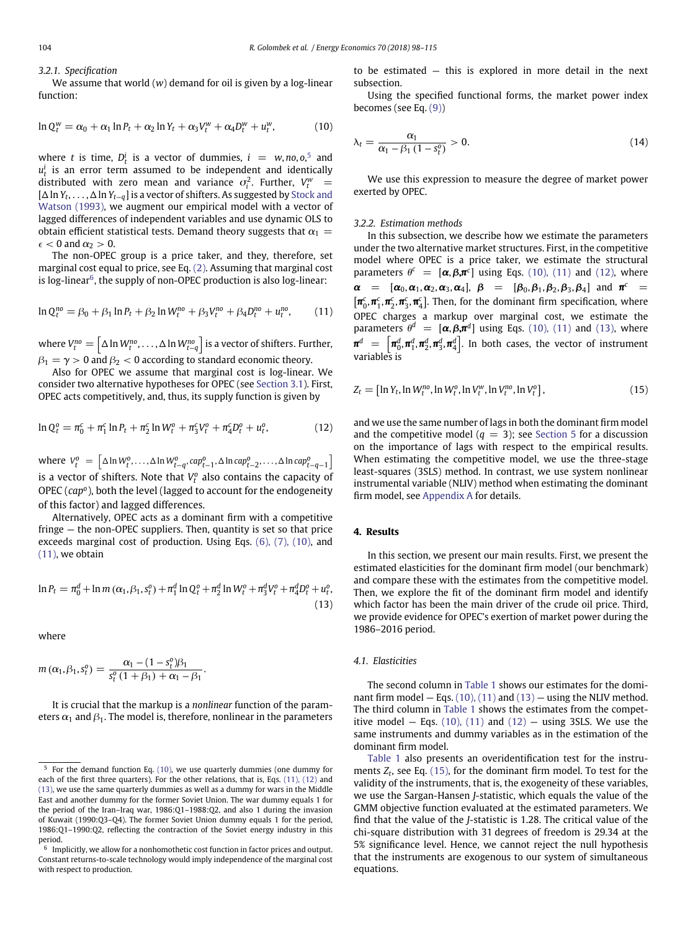### *3.2.1. Specification*

We assume that world (*w*) demand for oil is given by a log-linear function:

<span id="page-6-4"></span>
$$
\ln Q_t^{\mathsf{w}} = \alpha_0 + \alpha_1 \ln P_t + \alpha_2 \ln Y_t + \alpha_3 V_t^{\mathsf{w}} + \alpha_4 D_t^{\mathsf{w}} + u_t^{\mathsf{w}}, \tag{10}
$$

where *t* is time,  $D_t^i$  is a vector of dummies,  $i = w, no, o, \frac{5}{3}$  $i = w, no, o, \frac{5}{3}$  $i = w, no, o, \frac{5}{3}$  and  $u_t^i$  is an error term assumed to be independent and identically distributed with zero mean and variance  $\sigma_i^2$ . Further,  $V_t^w$  = [<sup>D</sup> ln *Yt*, *...* , <sup>D</sup> ln *Yt*−*q*] is a vector of shifters. As suggested by Stock and [Watson \(1993\), we augment our empirical model with a vector of](#page-17-8) lagged differences of independent variables and use dynamic OLS to obtain efficient statistical tests. Demand theory suggests that  $\alpha_1 =$  $\epsilon$  < 0 and  $\alpha$ <sub>2</sub> > 0.

The non-OPEC group is a price taker, and they, therefore, set marginal cost equal to price, see Eq. [\(2\).](#page-3-1) Assuming that marginal cost is log-linear $6$ , the supply of non-OPEC production is also log-linear:

$$
\ln Q_t^{no} = \beta_0 + \beta_1 \ln P_t + \beta_2 \ln W_t^{no} + \beta_3 V_t^{no} + \beta_4 D_t^{no} + u_t^{no}, \qquad (11)
$$

where  $V_t^{no} = \left[ \Delta \ln W_t^{no}, \ldots, \Delta \ln W_{t-q}^{no} \right]$  is a vector of shifters*.* Further,  $\beta_1 = \gamma > 0$  and  $\beta_2 < 0$  according to standard economic theory.

Also for OPEC we assume that marginal cost is log-linear. We consider two alternative hypotheses for OPEC (see [Section 3.1\)](#page-2-3). First, OPEC acts competitively, and, thus, its supply function is given by

$$
\ln Q_t^0 = \pi_0^c + \pi_1^c \ln P_t + \pi_2^c \ln W_t^0 + \pi_3^c V_t^0 + \pi_4^c D_t^0 + u_t^0, \tag{12}
$$

where  $V_t^o = \left[ \Delta \ln W_t^o, \ldots, \Delta \ln W_{t-q}^o, cap_{t-1}^o, \Delta \ln cap_{t-2}^o, \ldots, \Delta \ln cap_{t-q-1}^o \right]$ ľ is a vector of shifters. Note that  $V_t^o$  also contains the capacity of OPEC (*capo*), both the level (lagged to account for the endogeneity of this factor) and lagged differences.

Alternatively, OPEC acts as a dominant firm with a competitive fringe — the non-OPEC suppliers. Then, quantity is set so that price exceeds marginal cost of production. Using Eqs. [\(6\), \(7\), \(10\),](#page-5-4) and [\(11\),](#page-6-3) we obtain

<span id="page-6-5"></span>
$$
\ln P_t = \pi_0^d + \ln m \left( \alpha_1, \beta_1, s_t^o \right) + \pi_1^d \ln Q_t^o + \pi_2^d \ln W_t^o + \pi_3^d V_t^o + \pi_4^d D_t^o + u_t^o,
$$
\n(13)

where

$$
m(\alpha_1, \beta_1, s_t^o) = \frac{\alpha_1 - (1 - s_t^o)\beta_1}{s_t^o(1 + \beta_1) + \alpha_1 - \beta_1}.
$$

It is crucial that the markup is a *nonlinear* function of the parameters  $\alpha_1$  and  $\beta_1$ . The model is, therefore, nonlinear in the parameters to be estimated — this is explored in more detail in the next subsection.

Using the specified functional forms, the market power index becomes (see Eq. [\(9\)\)](#page-5-5)

<span id="page-6-8"></span>
$$
\lambda_t = \frac{\alpha_1}{\alpha_1 - \beta_1 \left(1 - s_t^o\right)} > 0. \tag{14}
$$

We use this expression to measure the degree of market power exerted by OPEC.

#### *3.2.2. Estimation methods*

<span id="page-6-3"></span>In this subsection, we describe how we estimate the parameters under the two alternative market structures. First, in the competitive model where OPEC is a price taker, we estimate the structural parameters  $\theta^c = [\alpha, \beta, \pi^c]$  using Eqs. [\(10\), \(11\)](#page-6-4) and [\(12\),](#page-6-6) where  $\alpha$  =  $[\alpha_0, \alpha_1, \alpha_2, \alpha_3, \alpha_4]$ ,  $\beta$  =  $[\beta_0, \beta_1, \beta_2, \beta_3, \beta_4]$  and  $\pi^c$  =  $\left[\pmb{\pi}_0^c,\pmb{\pi}_1^c,\pmb{\pi}_2^c,\pmb{\pi}_3^c,\pmb{\pi}_4^c\right]$ . Then, for the dominant firm specification, where OPEC charges a markup over marginal cost, we estimate the parameters  $\theta^d = [\alpha, \beta, \pi^d]$  using Eqs. [\(10\), \(11\)](#page-6-4) and [\(13\),](#page-6-5) where  $\pmb{\pi}^d$  =  $\left[\pmb{\pi}_0^d,\pmb{\pi}_1^d,\pmb{\pi}_2^d,\pmb{\pi}_3^d,\pmb{\pi}_4^d\right]$ . In both cases, the vector of instrument variables is

<span id="page-6-7"></span>
$$
Z_t = [\ln Y_t, \ln W_t^{no}, \ln W_t^o, \ln V_t^w, \ln V_t^{no}, \ln V_t^o], \qquad (15)
$$

<span id="page-6-6"></span>and we use the same number of lags in both the dominant firm model and the competitive model  $(q = 3)$ ; see [Section 5](#page-11-0) for a discussion on the importance of lags with respect to the empirical results. When estimating the competitive model, we use the three-stage least-squares (3SLS) method. In contrast, we use system nonlinear instrumental variable (NLIV) method when estimating the dominant firm model, see [Appendix A](#page-15-0) for details.

## <span id="page-6-0"></span>**4. Results**

In this section, we present our main results. First, we present the estimated elasticities for the dominant firm model (our benchmark) and compare these with the estimates from the competitive model. Then, we explore the fit of the dominant firm model and identify which factor has been the main driver of the crude oil price. Third, we provide evidence for OPEC's exertion of market power during the 1986–2016 period.

#### *4.1. Elasticities*

The second column in [Table 1](#page-7-1) shows our estimates for the dominant firm model  $-$  Eqs. [\(10\), \(11\)](#page-6-4) and [\(13\)](#page-6-5)  $-$  using the NLIV method. The third column in [Table 1](#page-7-1) shows the estimates from the competitive model  $-$  Eqs. [\(10\), \(11\)](#page-6-4) and [\(12\)](#page-6-6)  $-$  using 3SLS. We use the same instruments and dummy variables as in the estimation of the dominant firm model.

[Table 1](#page-7-1) also presents an overidentification test for the instruments  $Z_t$ , see Eq. [\(15\),](#page-6-7) for the dominant firm model. To test for the validity of the instruments, that is, the exogeneity of these variables, we use the Sargan-Hansen *J*-statistic, which equals the value of the GMM objective function evaluated at the estimated parameters. We find that the value of the *J*-statistic is 1.28. The critical value of the chi-square distribution with 31 degrees of freedom is 29.34 at the 5% significance level. Hence, we cannot reject the null hypothesis that the instruments are exogenous to our system of simultaneous equations.

<span id="page-6-1"></span> $5$  For the demand function Eq. [\(10\),](#page-6-4) we use quarterly dummies (one dummy for each of the first three quarters). For the other relations, that is, Eqs. [\(11\), \(12\)](#page-6-3) and [\(13\),](#page-6-5) we use the same quarterly dummies as well as a dummy for wars in the Middle East and another dummy for the former Soviet Union. The war dummy equals 1 for the period of the Iran–Iraq war, 1986:Q1–1988:Q2, and also 1 during the invasion of Kuwait (1990:Q3–Q4). The former Soviet Union dummy equals 1 for the period, 1986:Q1–1990:Q2, reflecting the contraction of the Soviet energy industry in this period.

<span id="page-6-2"></span> $6$  Implicitly, we allow for a nonhomothetic cost function in factor prices and output. Constant returns-to-scale technology would imply independence of the marginal cost with respect to production.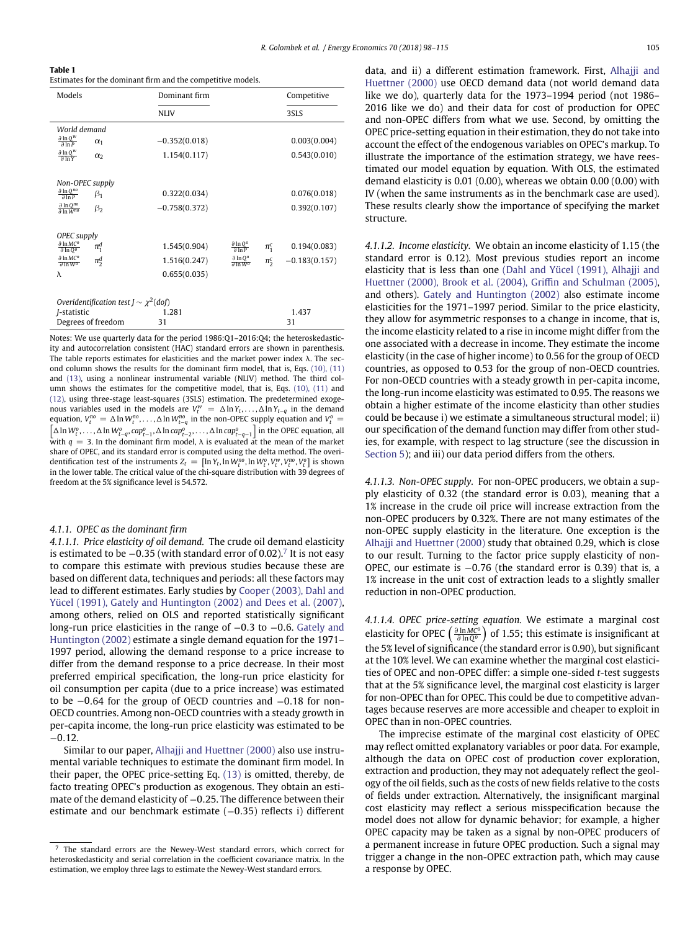<span id="page-7-1"></span>

| Table 1                                                     |  |
|-------------------------------------------------------------|--|
| Estimates for the dominant firm and the competitive models. |  |

| Models                                            |                                               | Dominant firm   |                                           |           | Competitive     |  |
|---------------------------------------------------|-----------------------------------------------|-----------------|-------------------------------------------|-----------|-----------------|--|
|                                                   |                                               | <b>NLIV</b>     |                                           |           | 3SLS            |  |
| World demand                                      |                                               |                 |                                           |           |                 |  |
| $\frac{\partial \ln Q^w}{\partial \ln P}$         | $\alpha_1$                                    | $-0.352(0.018)$ |                                           |           | 0.003(0.004)    |  |
| $\frac{\partial \ln Q^W}{\partial \ln Y}$         | $\alpha$                                      | 1.154(0.117)    |                                           |           | 0.543(0.010)    |  |
|                                                   |                                               |                 |                                           |           |                 |  |
| Non-OPEC supply                                   |                                               |                 |                                           |           |                 |  |
| $\frac{\partial \ln Q^{no}}{\partial \ln P}$      | $\beta_1$                                     | 0.322(0.034)    |                                           |           | 0.076(0.018)    |  |
| $\frac{\partial \ln Q^{no}}{\partial \ln W^{no}}$ | $\beta_2$                                     | $-0.758(0.372)$ |                                           |           | 0.392(0.107)    |  |
|                                                   |                                               |                 |                                           |           |                 |  |
| OPEC supply                                       |                                               |                 |                                           |           |                 |  |
| $\frac{\partial \ln MC^o}{\partial \ln Q^o}$      | $\pi^d_1$                                     | 1.545(0.904)    | $\frac{\partial \ln Q^0}{\partial \ln P}$ | $\pi_1^c$ | 0.194(0.083)    |  |
| $\frac{\partial \ln MC^o}{\partial \ln W^o}$      | $\pi_2^d$                                     | 1.516(0.247)    | $rac{\partial \ln Q^o}{\partial \ln W^o}$ | $\pi_2^c$ | $-0.183(0.157)$ |  |
| λ                                                 |                                               | 0.655(0.035)    |                                           |           |                 |  |
|                                                   |                                               |                 |                                           |           |                 |  |
|                                                   | Overidentification test $J \sim \chi^2$ (dof) |                 |                                           |           |                 |  |
| <i>I</i> -statistic                               |                                               | 1.281           |                                           |           | 1.437           |  |
|                                                   | Degrees of freedom                            | 31              |                                           |           | 31              |  |

Notes: We use quarterly data for the period 1986:Q1–2016:Q4; the heteroskedasticity and autocorrelation consistent (HAC) standard errors are shown in parenthesis. The table reports estimates for elasticities and the market power index  $\lambda$ . The second column shows the results for the dominant firm model, that is, Eqs. [\(10\), \(11\)](#page-6-4) and [\(13\),](#page-6-5) using a nonlinear instrumental variable (NLIV) method. The third column shows the estimates for the competitive model, that is, Eqs. [\(10\), \(11\)](#page-6-4) and [\(12\),](#page-6-6) using three-stage least-squares (3SLS) estimation. The predetermined exogenous variables used in the models are  $V_t^w = \Delta \ln Y_t, \ldots, \Delta \ln Y_{t-q}$  in the demand equation,  $V_t^{no} = \Delta \ln W_t^{no}, \ldots, \Delta \ln W_{t-q}^{no}$  in the non-OPEC supply equation and  $V_t^o =$ <br>  $\begin{bmatrix} \lambda \ln M_t^o, \ldots, \lambda \ln M_t^o, \ldots, \lambda \ln \cos \theta, \ldots, \lambda \ln \cos \theta, \ldots, \lambda \ln \cos \theta, \ldots, \lambda \ln \cos \theta, \ldots, \lambda \ln \cos \theta, \ldots, \lambda \ln \cos \theta, \ldots, \lambda \ln \cos \theta, \ldots, \lambda \ln \cos \theta$  $\Delta \ln W_t^o, \ldots, \Delta \ln W_{t-q}^o, cap_{t-1}^o, \Delta \ln cap_{t-2}^o, \ldots, \Delta \ln cap_{t-q-1}^o \right]$  in the OPEC equation, all with  $q = 3$ . In the dominant firm model,  $\lambda$  is evaluated at the mean of the market share of OPEC, and its standard error is computed using the delta method. The overidentification test of the instruments  $Z_t = [\ln Y_t, \ln W_t^{no}, \ln W_t^o, V_t^w, V_t^{no}, V_t^o]$  is shown in the lower table. The critical value of the chi-square distribution with 39 degrees of freedom at the 5% significance level is 54.572.

#### <span id="page-7-0"></span>*4.1.1. OPEC as the dominant firm*

*4.1.1.1. Price elasticity of oil demand.* The crude oil demand elasticity is estimated to be <sup>−</sup>0*.*35 (with standard error of 0.02).[7](#page-7-2) It is not easy to compare this estimate with previous studies because these are based on different data, techniques and periods: all these factors may lead to different estimates. Early studies by Cooper (2003), Dahl and [Yücel \(1991\), Gately and Huntington \(2002\) and Dees et al. \(2007\),](#page-16-2) among others, relied on OLS and reported statistically significant long-run price elasticities in the range of <sup>−</sup>0*.*3 to <sup>−</sup>0*.*6. Gately and Huntington (2002) [estimate a single demand equation for the 1971–](#page-16-3) 1997 period, allowing the demand response to a price increase to differ from the demand response to a price decrease. In their most preferred empirical specification, the long-run price elasticity for oil consumption per capita (due to a price increase) was estimated to be <sup>−</sup>0*.*64 for the group of OECD countries and <sup>−</sup>0*.*18 for non-OECD countries. Among non-OECD countries with a steady growth in per-capita income, the long-run price elasticity was estimated to be <sup>−</sup>0*.*12.

Similar to our paper, [Alhajji and Huettner \(2000\)](#page-16-6) also use instrumental variable techniques to estimate the dominant firm model. In their paper, the OPEC price-setting Eq. [\(13\)](#page-6-5) is omitted, thereby, de facto treating OPEC's production as exogenous. They obtain an estimate of the demand elasticity of -0.25. The difference between their estimate and our benchmark estimate (−0*.*35) reflects i) different [data, and ii\) a different estimation framework. First,](#page-16-6) Alhajji and Huettner (2000) use OECD demand data (not world demand data like we do), quarterly data for the 1973–1994 period (not 1986– 2016 like we do) and their data for cost of production for OPEC and non-OPEC differs from what we use. Second, by omitting the OPEC price-setting equation in their estimation, they do not take into account the effect of the endogenous variables on OPEC's markup. To illustrate the importance of the estimation strategy, we have reestimated our model equation by equation. With OLS, the estimated demand elasticity is 0.01 (0.00), whereas we obtain 0.00 (0.00) with IV (when the same instruments as in the benchmark case are used). These results clearly show the importance of specifying the market structure.

*4.1.1.2. Income elasticity.* We obtain an income elasticity of 1.15 (the standard error is 0.12). Most previous studies report an income elasticity that is less than one (Dahl and Yücel (1991), Alhajji and [Huettner \(2000\), Brook et al. \(2004\), Griffin and Schulman \(2005\),](#page-16-24) and others). [Gately and Huntington \(2002\)](#page-16-3) also estimate income elasticities for the 1971–1997 period. Similar to the price elasticity, they allow for asymmetric responses to a change in income, that is, the income elasticity related to a rise in income might differ from the one associated with a decrease in income. They estimate the income elasticity (in the case of higher income) to 0.56 for the group of OECD countries, as opposed to 0.53 for the group of non-OECD countries. For non-OECD countries with a steady growth in per-capita income, the long-run income elasticity was estimated to 0.95. The reasons we obtain a higher estimate of the income elasticity than other studies could be because i) we estimate a simultaneous structural model; ii) our specification of the demand function may differ from other studies, for example, with respect to lag structure (see the discussion in [Section 5\)](#page-11-0); and iii) our data period differs from the others.

*4.1.1.3. Non-OPEC supply.* For non-OPEC producers, we obtain a supply elasticity of 0.32 (the standard error is 0.03), meaning that a 1% increase in the crude oil price will increase extraction from the non-OPEC producers by 0.32%. There are not many estimates of the non-OPEC supply elasticity in the literature. One exception is the [Alhajji and Huettner \(2000\)](#page-16-6) study that obtained 0.29, which is close to our result. Turning to the factor price supply elasticity of non-OPEC, our estimate is −0*.*76 (the standard error is 0.39) that is, a 1% increase in the unit cost of extraction leads to a slightly smaller reduction in non-OPEC production.

*4.1.1.4. OPEC price-setting equation.* We estimate a marginal cost elasticity for OPEC - *∂* ln *MC<sup>o</sup> ∂* ln*Q<sup>o</sup>*  $\int$  of 1.55; this estimate is insignificant at the 5% level of significance (the standard error is 0.90), but significant at the 10% level. We can examine whether the marginal cost elasticities of OPEC and non-OPEC differ: a simple one-sided *t*-test suggests that at the 5% significance level, the marginal cost elasticity is larger for non-OPEC than for OPEC. This could be due to competitive advantages because reserves are more accessible and cheaper to exploit in OPEC than in non-OPEC countries.

The imprecise estimate of the marginal cost elasticity of OPEC may reflect omitted explanatory variables or poor data. For example, although the data on OPEC cost of production cover exploration, extraction and production, they may not adequately reflect the geology of the oil fields, such as the costs of new fields relative to the costs of fields under extraction. Alternatively, the insignificant marginal cost elasticity may reflect a serious misspecification because the model does not allow for dynamic behavior; for example, a higher OPEC capacity may be taken as a signal by non-OPEC producers of a permanent increase in future OPEC production. Such a signal may trigger a change in the non-OPEC extraction path, which may cause a response by OPEC.

<span id="page-7-2"></span><sup>7</sup> The standard errors are the Newey-West standard errors, which correct for heteroskedasticity and serial correlation in the coefficient covariance matrix. In the estimation, we employ three lags to estimate the Newey-West standard errors.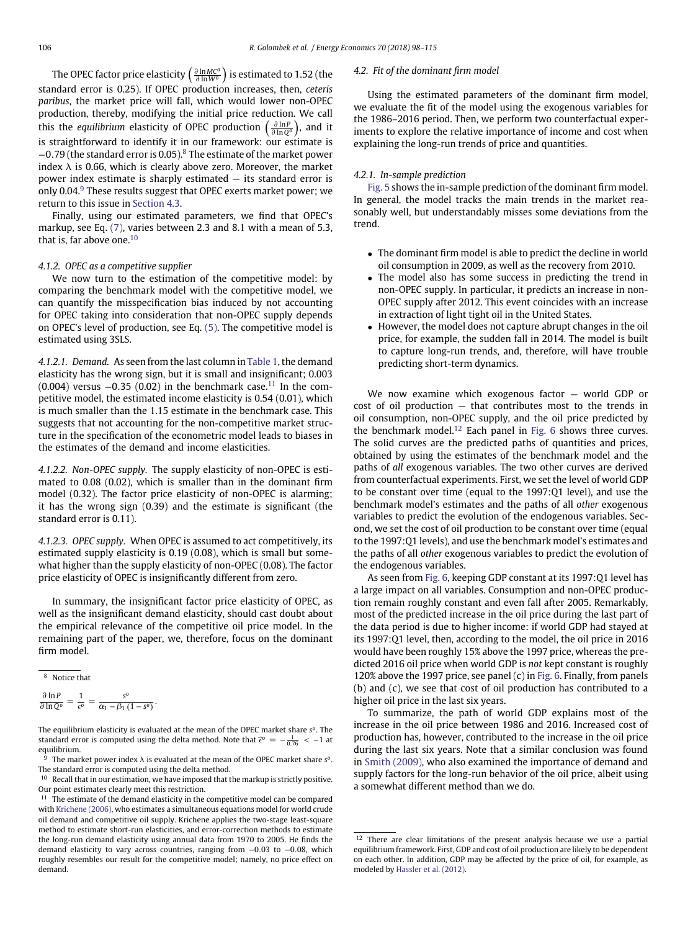The OPEC factor price elasticity - *∂* ln *MC<sup>o</sup> ∂* ln *W<sup>o</sup>*  $i$  is estimated to 1.52 (the standard error is 0.25). If OPEC production increases, then, *ceteris paribus*, the market price will fall, which would lower non-OPEC production, thereby, modifying the initial price reduction. We call this the *equilibrium* elasticity of OPEC production - *∂* ln *P ∂* ln*Q<sup>o</sup>* ), and it is straightforward to identify it in our framework: our estimate is <sup>−</sup>0*.*79 (the standard error is 0.05).[8](#page-8-1) The estimate of the market power index  $\lambda$  is 0.66, which is clearly above zero. Moreover, the market power index estimate is sharply estimated — its standard error is only 0.04. $9$  These results suggest that OPEC exerts market power; we return to this issue in [Section 4.3.](#page-8-3)

Finally, using our estimated parameters, we find that OPEC's markup, see Eq. [\(7\),](#page-5-6) varies between 2.3 and 8.1 with a mean of 5.3, that is, far above one.<sup>[10](#page-8-4)</sup>

#### *4.1.2. OPEC as a competitive supplier*

We now turn to the estimation of the competitive model: by comparing the benchmark model with the competitive model, we can quantify the misspecification bias induced by not accounting for OPEC taking into consideration that non-OPEC supply depends on OPEC's level of production, see Eq. [\(5\).](#page-4-2) The competitive model is estimated using 3SLS.

*4.1.2.1. Demand.* As seen from the last column in [Table 1,](#page-7-1) the demand elasticity has the wrong sign, but it is small and insignificant; 0.003 (0.004) versus <sup>−</sup>0*.*35 (0.02) in the benchmark case.[11](#page-8-5) In the competitive model, the estimated income elasticity is 0.54 (0.01), which is much smaller than the 1.15 estimate in the benchmark case. This suggests that not accounting for the non-competitive market structure in the specification of the econometric model leads to biases in the estimates of the demand and income elasticities.

*4.1.2.2. Non-OPEC supply.* The supply elasticity of non-OPEC is estimated to 0.08 (0.02), which is smaller than in the dominant firm model (0.32). The factor price elasticity of non-OPEC is alarming; it has the wrong sign (0.39) and the estimate is significant (the standard error is 0.11).

*4.1.2.3. OPEC supply.* When OPEC is assumed to act competitively, its estimated supply elasticity is 0.19 (0.08), which is small but somewhat higher than the supply elasticity of non-OPEC (0.08). The factor price elasticity of OPEC is insignificantly different from zero.

In summary, the insignificant factor price elasticity of OPEC, as well as the insignificant demand elasticity, should cast doubt about the empirical relevance of the competitive oil price model. In the remaining part of the paper, we, therefore, focus on the dominant firm model.

<span id="page-8-1"></span><span id="page-8-0"></span> $8$  Notice that

$$
\frac{\partial \ln P}{\partial \ln Q^o} = \frac{1}{\epsilon^o} = \frac{s^o}{\alpha_1 - \beta_1 (1 - s^o)}.
$$

The equilibrium elasticity is evaluated at the mean of the OPEC market share *so*. The standard error is computed using the delta method. Note that  $\hat{\epsilon}^0 = -\frac{1}{0.76} < -1$  at equilibrium.

## *4.2. Fit of the dominant firm model*

Using the estimated parameters of the dominant firm model, we evaluate the fit of the model using the exogenous variables for the 1986–2016 period. Then, we perform two counterfactual experiments to explore the relative importance of income and cost when explaining the long-run trends of price and quantities.

#### *4.2.1. In-sample prediction*

[Fig. 5](#page-9-0) shows the in-sample prediction of the dominant firm model. In general, the model tracks the main trends in the market reasonably well, but understandably misses some deviations from the trend.

- The dominant firm model is able to predict the decline in world oil consumption in 2009, as well as the recovery from 2010.
- The model also has some success in predicting the trend in non-OPEC supply. In particular, it predicts an increase in non-OPEC supply after 2012. This event coincides with an increase in extraction of light tight oil in the United States.
- However, the model does not capture abrupt changes in the oil price, for example, the sudden fall in 2014. The model is built to capture long-run trends, and, therefore, will have trouble predicting short-term dynamics.

We now examine which exogenous factor — world GDP or cost of oil production — that contributes most to the trends in oil consumption, non-OPEC supply, and the oil price predicted by the benchmark model.<sup>[12](#page-8-6)</sup> Each panel in [Fig. 6](#page-10-0) shows three curves. The solid curves are the predicted paths of quantities and prices, obtained by using the estimates of the benchmark model and the paths of *all* exogenous variables. The two other curves are derived from counterfactual experiments. First, we set the level of world GDP to be constant over time (equal to the 1997:Q1 level), and use the benchmark model's estimates and the paths of all *other* exogenous variables to predict the evolution of the endogenous variables. Second, we set the cost of oil production to be constant over time (equal to the 1997:Q1 levels), and use the benchmark model's estimates and the paths of all *other* exogenous variables to predict the evolution of the endogenous variables.

As seen from [Fig. 6,](#page-10-0) keeping GDP constant at its 1997:Q1 level has a large impact on all variables. Consumption and non-OPEC production remain roughly constant and even fall after 2005. Remarkably, most of the predicted increase in the oil price during the last part of the data period is due to higher income: if world GDP had stayed at its 1997:Q1 level, then, according to the model, the oil price in 2016 would have been roughly 15% above the 1997 price, whereas the predicted 2016 oil price when world GDP is *not* kept constant is roughly 120% above the 1997 price, see panel (c) in [Fig. 6.](#page-10-0) Finally, from panels (b) and (c), we see that cost of oil production has contributed to a higher oil price in the last six years.

To summarize, the path of world GDP explains most of the increase in the oil price between 1986 and 2016. Increased cost of production has, however, contributed to the increase in the oil price during the last six years. Note that a similar conclusion was found in [Smith \(2009\),](#page-17-4) who also examined the importance of demand and supply factors for the long-run behavior of the oil price, albeit using a somewhat different method than we do.

<span id="page-8-2"></span><sup>&</sup>lt;sup>9</sup> The market power index  $\lambda$  is evaluated at the mean of the OPEC market share  $s^o$ . The standard error is computed using the delta method.

<span id="page-8-4"></span><sup>&</sup>lt;sup>10</sup> Recall that in our estimation, we have imposed that the markup is strictly positive. Our point estimates clearly meet this restriction.

<span id="page-8-5"></span> $11$  The estimate of the demand elasticity in the competitive model can be compared with [Krichene \(2006\),](#page-17-9) who estimates a simultaneous equations model for world crude oil demand and competitive oil supply. Krichene applies the two-stage least-square method to estimate short-run elasticities, and error-correction methods to estimate the long-run demand elasticity using annual data from 1970 to 2005. He finds the demand elasticity to vary across countries, ranging from <sup>−</sup>0*.*03 to <sup>−</sup>0*.*08, which roughly resembles our result for the competitive model; namely, no price effect on demand.

<span id="page-8-6"></span><span id="page-8-3"></span><sup>&</sup>lt;sup>12</sup> There are clear limitations of the present analysis because we use a partial equilibrium framework. First, GDP and cost of oil production are likely to be dependent on each other. In addition, GDP may be affected by the price of oil, for example, as modeled by [Hassler et al. \(2012\).](#page-16-25)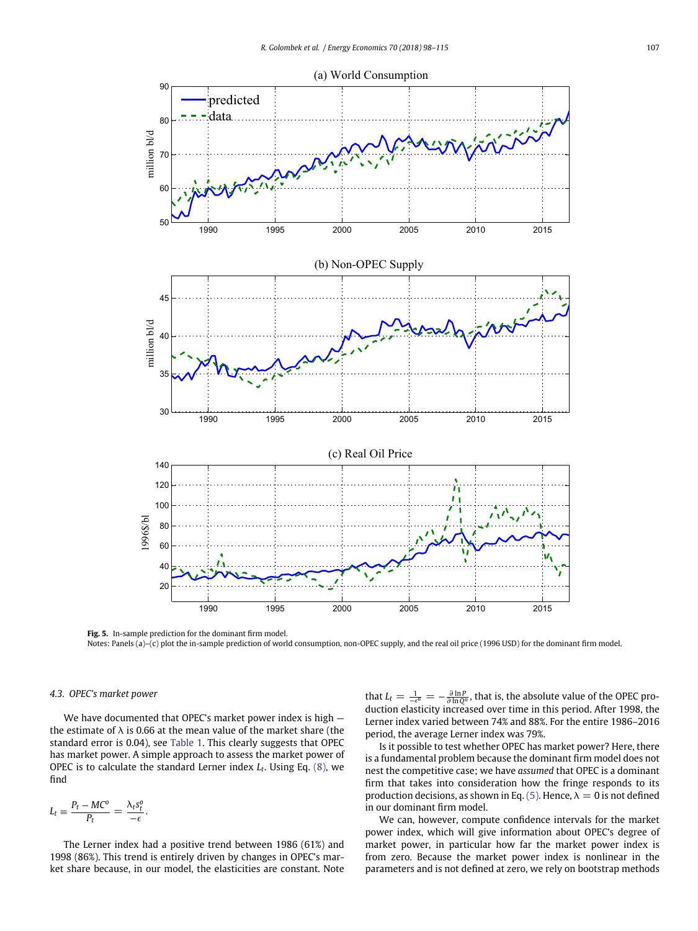

<span id="page-9-0"></span>**Fig. 5.** In-sample prediction for the dominant firm model. Notes: Panels (a)–(c) plot the in-sample prediction of world consumption, non-OPEC supply, and the real oil price (1996 USD) for the dominant firm model.

## *4.3. OPEC's market power*

We have documented that OPEC's market power index is high the estimate of  $\lambda$  is 0.66 at the mean value of the market share (the standard error is 0.04), see [Table 1.](#page-7-1) This clearly suggests that OPEC has market power. A simple approach to assess the market power of OPEC is to calculate the standard Lerner index *Lt*. Using Eq. [\(8\),](#page-5-3) we find

$$
L_t \equiv \frac{P_t - MC^o}{P_t} = \frac{\lambda_t s_t^o}{-\epsilon}.
$$

The Lerner index had a positive trend between 1986 (61%) and 1998 (86%). This trend is entirely driven by changes in OPEC's market share because, in our model, the elasticities are constant. Note

that  $L_t = \frac{1}{-e^{\theta}} = -\frac{\partial \ln P}{\partial \ln Q^{\theta}}$ , that is, the absolute value of the OPEC production elasticity increased over time in this period. After 1998, the Lerner index varied between 74% and 88%. For the entire 1986–2016 period, the average Lerner index was 79%.

Is it possible to test whether OPEC has market power? Here, there is a fundamental problem because the dominant firm model does not nest the competitive case; we have *assumed* that OPEC is a dominant firm that takes into consideration how the fringe responds to its production decisions, as shown in Eq. [\(5\).](#page-4-2) Hence,  $\lambda = 0$  is not defined in our dominant firm model.

We can, however, compute confidence intervals for the market power index, which will give information about OPEC's degree of market power, in particular how far the market power index is from zero. Because the market power index is nonlinear in the parameters and is not defined at zero, we rely on bootstrap methods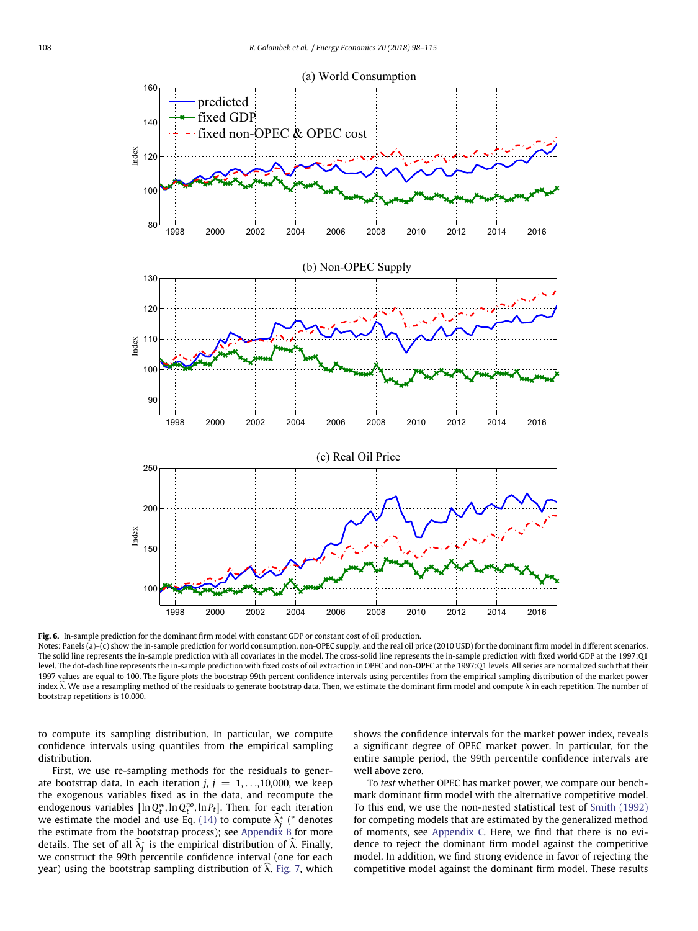

<span id="page-10-0"></span>**Fig. 6.** In-sample prediction for the dominant firm model with constant GDP or constant cost of oil production.

Notes: Panels (a)–(c) show the in-sample prediction for world consumption, non-OPEC supply, and the real oil price (2010 USD) for the dominant firm model in different scenarios. The solid line represents the in-sample prediction with all covariates in the model. The cross-solid line represents the in-sample prediction with fixed world GDP at the 1997:Q1 level. The dot-dash line represents the in-sample prediction with fixed costs of oil extraction in OPEC and non-OPEC at the 1997:Q1 levels. All series are normalized such that their 1997 values are equal to 100. The figure plots the bootstrap 99th percent confidence intervals using percentiles from the empirical sampling distribution of the market power index λ. We use a resampling method of the residuals to generate bootstrap data. Then, we estimate the dominant firm model and compute *λ* in each repetition. The number of bootstrap repetitions is 10,000.

to compute its sampling distribution. In particular, we compute confidence intervals using quantiles from the empirical sampling distribution.

First, we use re-sampling methods for the residuals to generate bootstrap data. In each iteration  $j, j = 1, \ldots, 10,000$ , we keep the exogenous variables fixed as in the data, and recompute the endogenous variables  $[\ln Q_t^w$ , ln $Q_t^{no}$ , ln $P_t$ ]. Then, for each iteration we estimate the model and use Eq.  $(14)$  to compute  $\lambda_j^*$  (\* denotes the estimate from the bootstrap process); see [Appendix B](#page-15-1) for more details. The set of all  $\lambda^*_j$  is the empirical distribution of  $\lambda$ . Finally, we construct the 99th percentile confidence interval (one for each year) using the bootstrap sampling distribution of  $\hat{\lambda}$ . [Fig. 7,](#page-11-1) which shows the confidence intervals for the market power index, reveals a significant degree of OPEC market power. In particular, for the entire sample period, the 99th percentile confidence intervals are well above zero.

To *test* whether OPEC has market power, we compare our benchmark dominant firm model with the alternative competitive model. To this end, we use the non-nested statistical test of [Smith \(1992\)](#page-17-10) for competing models that are estimated by the generalized method of moments, see [Appendix C.](#page-16-26) Here, we find that there is no evidence to reject the dominant firm model against the competitive model. In addition, we find strong evidence in favor of rejecting the competitive model against the dominant firm model. These results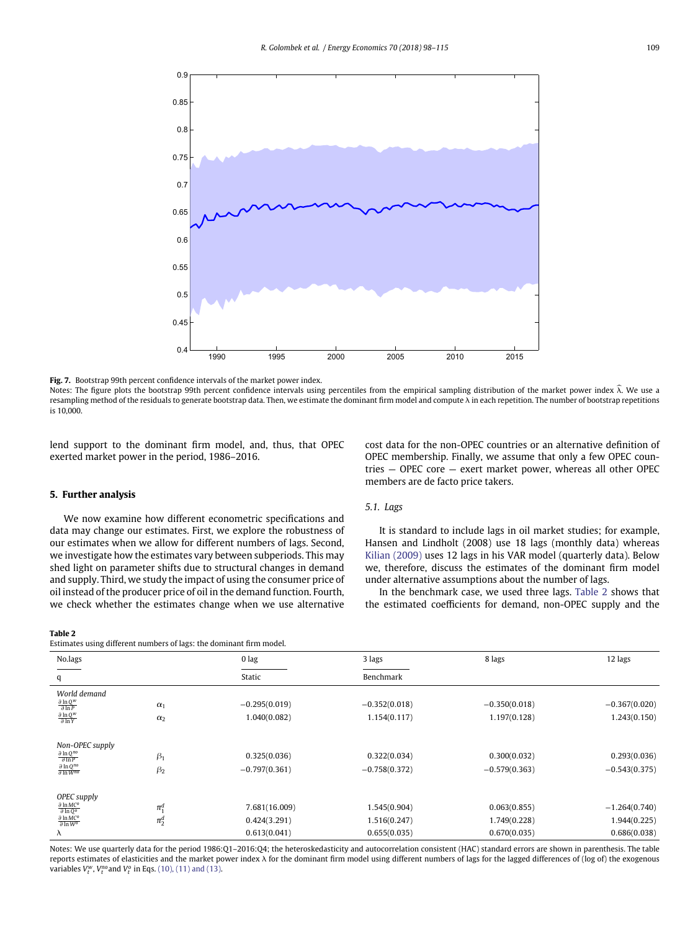

<span id="page-11-1"></span>**Fig. 7.** Bootstrap 99th percent confidence intervals of the market power index.

Notes: The figure plots the bootstrap 99th percent confidence intervals using percentiles from the empirical sampling distribution of the market power index *k*. We use a resampling method of the residuals to generate bootstrap data. Then, we estimate the dominant firm model and compute *k* in each repetition. The number of bootstrap repetitions is 10,000.

<span id="page-11-0"></span>lend support to the dominant firm model, and, thus, that OPEC exerted market power in the period, 1986–2016.

### **5. Further analysis**

We now examine how different econometric specifications and data may change our estimates. First, we explore the robustness of our estimates when we allow for different numbers of lags. Second, we investigate how the estimates vary between subperiods. This may shed light on parameter shifts due to structural changes in demand and supply. Third, we study the impact of using the consumer price of oil instead of the producer price of oil in the demand function. Fourth, we check whether the estimates change when we use alternative

#### <span id="page-11-2"></span>**Table 2**

Estimates using different numbers of lags: the dominant firm model.

cost data for the non-OPEC countries or an alternative definition of OPEC membership. Finally, we assume that only a few OPEC countries — OPEC core — exert market power, whereas all other OPEC members are de facto price takers.

## *5.1. Lags*

It is standard to include lags in oil market studies; for example, Hansen and Lindholt (2008) use 18 lags (monthly data) whereas [Kilian \(2009\)](#page-16-12) uses 12 lags in his VAR model (quarterly data). Below we, therefore, discuss the estimates of the dominant firm model under alternative assumptions about the number of lags.

In the benchmark case, we used three lags. [Table 2](#page-11-2) shows that the estimated coefficients for demand, non-OPEC supply and the

|            | 0 lag           | 3 lags          | 8 lags          | 12 lags         |
|------------|-----------------|-----------------|-----------------|-----------------|
|            | Static          | Benchmark       |                 |                 |
|            |                 |                 |                 |                 |
| $\alpha_1$ | $-0.295(0.019)$ | $-0.352(0.018)$ | $-0.350(0.018)$ | $-0.367(0.020)$ |
| $\alpha_2$ | 1.040(0.082)    | 1.154(0.117)    | 1.197(0.128)    | 1.243(0.150)    |
|            |                 |                 |                 |                 |
| $\beta_1$  | 0.325(0.036)    | 0.322(0.034)    | 0.300(0.032)    | 0.293(0.036)    |
| $\beta_2$  | $-0.797(0.361)$ | $-0.758(0.372)$ | $-0.579(0.363)$ | $-0.543(0.375)$ |
|            |                 |                 |                 |                 |
| $\pi_1^d$  | 7.681(16.009)   | 1.545(0.904)    | 0.063(0.855)    | $-1.264(0.740)$ |
| $\pi_2^d$  | 0.424(3.291)    | 1.516(0.247)    | 1.749(0.228)    | 1.944(0.225)    |
|            | 0.613(0.041)    | 0.655(0.035)    | 0.670(0.035)    | 0.686(0.038)    |
|            |                 |                 |                 |                 |

Notes: We use quarterly data for the period 1986:Q1–2016:Q4; the heteroskedasticity and autocorrelation consistent (HAC) standard errors are shown in parenthesis. The table reports estimates of elasticities and the market power index *k* for the dominant firm model using different numbers of lags for the lagged differences of (log of) the exogenous variables *V<sup>w</sup> <sup>t</sup>* , *Vno <sup>t</sup>* and *V<sup>o</sup> <sup>t</sup>* in Eqs. [\(10\), \(11\) and \(13\).](#page-6-4)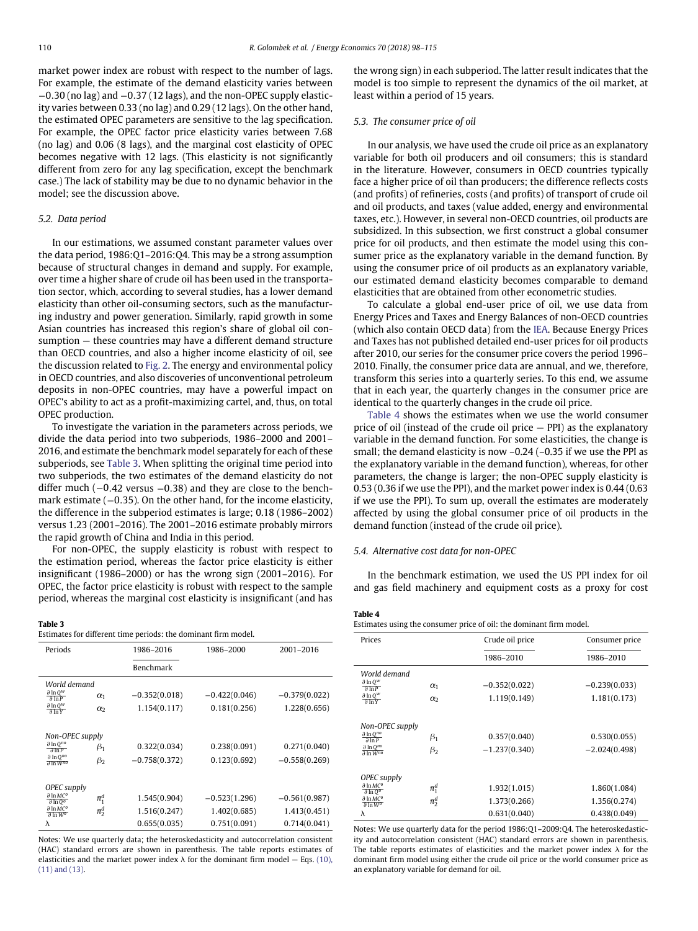market power index are robust with respect to the number of lags. For example, the estimate of the demand elasticity varies between <sup>−</sup>0*.*30 (no lag) and <sup>−</sup>0*.*37 (12 lags), and the non-OPEC supply elasticity varies between 0.33 (no lag) and 0.29 (12 lags). On the other hand, the estimated OPEC parameters are sensitive to the lag specification. For example, the OPEC factor price elasticity varies between 7.68 (no lag) and 0.06 (8 lags), and the marginal cost elasticity of OPEC becomes negative with 12 lags. (This elasticity is not significantly different from zero for any lag specification, except the benchmark case.) The lack of stability may be due to no dynamic behavior in the model; see the discussion above.

#### *5.2. Data period*

In our estimations, we assumed constant parameter values over the data period, 1986:Q1–2016:Q4. This may be a strong assumption because of structural changes in demand and supply. For example, over time a higher share of crude oil has been used in the transportation sector, which, according to several studies, has a lower demand elasticity than other oil-consuming sectors, such as the manufacturing industry and power generation. Similarly, rapid growth in some Asian countries has increased this region's share of global oil consumption — these countries may have a different demand structure than OECD countries, and also a higher income elasticity of oil, see the discussion related to [Fig. 2.](#page-4-0) The energy and environmental policy in OECD countries, and also discoveries of unconventional petroleum deposits in non-OPEC countries, may have a powerful impact on OPEC's ability to act as a profit-maximizing cartel, and, thus, on total OPEC production.

To investigate the variation in the parameters across periods, we divide the data period into two subperiods, 1986–2000 and 2001– 2016, and estimate the benchmark model separately for each of these subperiods, see [Table 3.](#page-12-0) When splitting the original time period into two subperiods, the two estimates of the demand elasticity do not differ much (−0*.*42 versus <sup>−</sup>0*.*38) and they are close to the benchmark estimate (−0*.*35). On the other hand, for the income elasticity, the difference in the subperiod estimates is large; 0.18 (1986–2002) versus 1.23 (2001–2016). The 2001–2016 estimate probably mirrors the rapid growth of China and India in this period.

For non-OPEC, the supply elasticity is robust with respect to the estimation period, whereas the factor price elasticity is either insignificant (1986–2000) or has the wrong sign (2001–2016). For OPEC, the factor price elasticity is robust with respect to the sample period, whereas the marginal cost elasticity is insignificant (and has

#### <span id="page-12-0"></span>**Table 3**

| Estimates for different time periods: the dominant firm model. |  |
|----------------------------------------------------------------|--|
|----------------------------------------------------------------|--|

| Periods                                                   |            | 1986-2016                                                                                                   | 1986-2000       | 2001-2016       |
|-----------------------------------------------------------|------------|-------------------------------------------------------------------------------------------------------------|-----------------|-----------------|
|                                                           |            | Benchmark                                                                                                   |                 |                 |
| World demand                                              |            |                                                                                                             |                 |                 |
| $\partial \ln Q^W$<br>$\partial \ln P$                    | $\alpha_1$ | $-0.352(0.018)$                                                                                             | $-0.422(0.046)$ | $-0.379(0.022)$ |
| $\partial \ln Q^W$<br>$\partial \ln Y$                    | $\alpha_2$ | 1.154(0.117)                                                                                                | 0.181(0.256)    | 1.228(0.656)    |
| Non-OPEC supply                                           |            |                                                                                                             |                 |                 |
| $\partial \ln Q^{no}$<br>$\partial \ln P$                 | $\beta_1$  | 0.322(0.034)                                                                                                | 0.238(0.091)    | 0.271(0.040)    |
| $\partial \ln Q^{no}$<br>$\partial \ln W^{no}$            | $\beta_2$  | $-0.758(0.372)$                                                                                             | 0.123(0.692)    | $-0.558(0.269)$ |
| OPEC supply                                               |            |                                                                                                             |                 |                 |
| $\partial$ ln MC <sup>o</sup><br>$\partial \ln 0^\circ$   | $\pi_1^d$  | 1.545(0.904)                                                                                                | $-0.523(1.296)$ | $-0.561(0.987)$ |
| $\partial$ ln MC <sup>o</sup><br>$\partial \ln W^{\circ}$ | $\pi_2^d$  | 1.516(0.247)                                                                                                | 1.402(0.685)    | 1.413(0.451)    |
| λ                                                         |            | 0.655(0.035)                                                                                                | 0.751(0.091)    | 0.714(0.041)    |
|                                                           |            | فسيطينهم والمتفيد المستميم ويفرد وسنا والمتحارث والمتحامي والمستحدث والمستحدث وبالمستحدث والمالية والمستحار |                 |                 |

Notes: We use quarterly data; the heteroskedasticity and autocorrelation consistent (HAC) standard errors are shown in parenthesis. The table reports estimates of [elasticities and the market power index](#page-6-4)  $\lambda$  for the dominant firm model  $-$  Eqs. (10), (11) and (13).

the wrong sign) in each subperiod. The latter result indicates that the model is too simple to represent the dynamics of the oil market, at least within a period of 15 years.

## *5.3. The consumer price of oil*

In our analysis, we have used the crude oil price as an explanatory variable for both oil producers and oil consumers; this is standard in the literature. However, consumers in OECD countries typically face a higher price of oil than producers; the difference reflects costs (and profits) of refineries, costs (and profits) of transport of crude oil and oil products, and taxes (value added, energy and environmental taxes, etc.). However, in several non-OECD countries, oil products are subsidized. In this subsection, we first construct a global consumer price for oil products, and then estimate the model using this consumer price as the explanatory variable in the demand function. By using the consumer price of oil products as an explanatory variable, our estimated demand elasticity becomes comparable to demand elasticities that are obtained from other econometric studies.

To calculate a global end-user price of oil, we use data from Energy Prices and Taxes and Energy Balances of non-OECD countries (which also contain OECD data) from the [IEA.](#page-16-27) Because Energy Prices and Taxes has not published detailed end-user prices for oil products after 2010, our series for the consumer price covers the period 1996– 2010. Finally, the consumer price data are annual, and we, therefore, transform this series into a quarterly series. To this end, we assume that in each year, the quarterly changes in the consumer price are identical to the quarterly changes in the crude oil price.

[Table 4](#page-12-1) shows the estimates when we use the world consumer price of oil (instead of the crude oil price — PPI) as the explanatory variable in the demand function. For some elasticities, the change is small; the demand elasticity is now –0.24 (–0.35 if we use the PPI as the explanatory variable in the demand function), whereas, for other parameters, the change is larger; the non-OPEC supply elasticity is 0.53 (0.36 if we use the PPI), and the market power index is 0.44 (0.63 if we use the PPI). To sum up, overall the estimates are moderately affected by using the global consumer price of oil products in the demand function (instead of the crude oil price).

## *5.4. Alternative cost data for non-OPEC*

In the benchmark estimation, we used the US PPI index for oil and gas field machinery and equipment costs as a proxy for cost

## <span id="page-12-1"></span>**Table 4**

| Estimates using the consumer price of oil: the dominant firm model. |  |  |  |
|---------------------------------------------------------------------|--|--|--|
|---------------------------------------------------------------------|--|--|--|

| Prices                                              |            | Crude oil price | Consumer price  |
|-----------------------------------------------------|------------|-----------------|-----------------|
|                                                     |            | 1986-2010       | 1986-2010       |
| World demand                                        |            |                 |                 |
| $\partial \ln Q^W$<br>$\partial \ln P$              | $\alpha_1$ | $-0.352(0.022)$ | $-0.239(0.033)$ |
| $\partial \ln Q^W$<br>$\partial \ln Y$              | $\alpha$   | 1.119(0.149)    | 1.181(0.173)    |
| Non-OPEC supply                                     |            |                 |                 |
| $\partial \ln Q^{no}$<br>$\partial \ln P$           | $\beta_1$  | 0.357(0.040)    | 0.530(0.055)    |
| $\partial \ln Q^{no}$<br>$\partial \ln W^{no}$      | $\beta_2$  | $-1.237(0.340)$ | $-2.024(0.498)$ |
| OPEC supply                                         |            |                 |                 |
| $\partial$ ln MC <sup>o</sup><br>$\partial \ln Q^o$ | $\pi_1^d$  | 1.932(1.015)    | 1.860(1.084)    |
| $\partial \ln MC^o$<br>$\partial \ln W^0$           | $\pi_2^d$  | 1.373(0.266)    | 1.356(0.274)    |
| λ                                                   |            | 0.631(0.040)    | 0.438(0.049)    |

Notes: We use quarterly data for the period 1986:Q1–2009:Q4. The heteroskedasticity and autocorrelation consistent (HAC) standard errors are shown in parenthesis. The table reports estimates of elasticities and the market power index *k* for the dominant firm model using either the crude oil price or the world consumer price as an explanatory variable for demand for oil.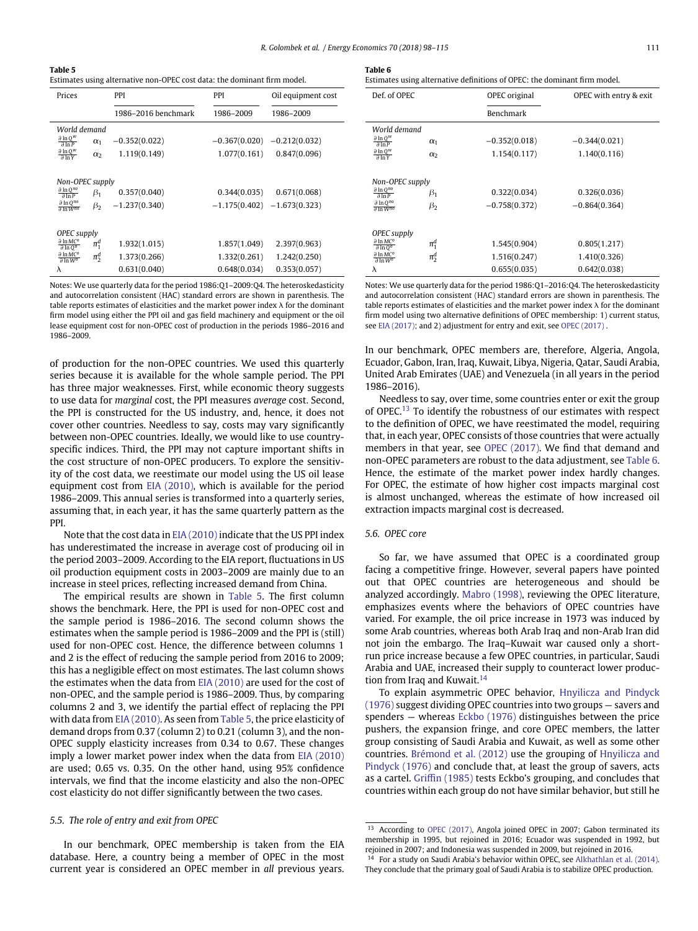<span id="page-13-0"></span>**Table 5**

Estimates using alternative non-OPEC cost data: the dominant firm model.

| Prices                                                         |                 | <b>PPI</b>          | PPI                           | Oil equipment cost |
|----------------------------------------------------------------|-----------------|---------------------|-------------------------------|--------------------|
|                                                                |                 | 1986–2016 benchmark | 1986-2009                     | 1986-2009          |
|                                                                | World demand    |                     |                               |                    |
| $\partial \ln Q^w$<br>$\partial \overline{ln P}$               | $\alpha_1$      | $-0.352(0.022)$     | $-0.367(0.020)$               | $-0.212(0.032)$    |
| $\partial \ln Q^W$<br>$\partial \ln Y$                         | $\alpha$        | 1.119(0.149)        | 1.077(0.161)                  | 0.847(0.096)       |
|                                                                |                 |                     |                               |                    |
|                                                                | Non-OPEC supply |                     |                               |                    |
| $\partial \ln Q^{no}$<br>$\partial$ InP                        | $\beta_1$       | 0.357(0.040)        | 0.344(0.035)                  | 0.671(0.068)       |
| $\partial \ln Q^{no}$<br>$\partial \ln W^{no}$                 | $\beta_2$       | $-1.237(0.340)$     | $-1.175(0.402) -1.673(0.323)$ |                    |
|                                                                |                 |                     |                               |                    |
| OPEC supply                                                    |                 |                     |                               |                    |
| $\partial \ln MC^o$<br>$\partial \ln Q^o$                      | $\pi^d_1$       | 1.932(1.015)        | 1.857(1.049)                  | 2.397(0.963)       |
| $\partial$ ln MC <sup>o</sup><br>$\partial \ln W$ <sup>o</sup> | $\pi_2^d$       | 1.373(0.266)        | 1.332(0.261)                  | 1.242(0.250)       |
| λ                                                              |                 | 0.631(0.040)        | 0.648(0.034)                  | 0.353(0.057)       |
|                                                                |                 |                     |                               |                    |

Notes: We use quarterly data for the period 1986:Q1–2009:Q4. The heteroskedasticity and autocorrelation consistent (HAC) standard errors are shown in parenthesis. The table reports estimates of elasticities and the market power index  $\lambda$  for the dominant firm model using either the PPI oil and gas field machinery and equipment or the oil lease equipment cost for non-OPEC cost of production in the periods 1986–2016 and 1986–2009.

of production for the non-OPEC countries. We used this quarterly series because it is available for the whole sample period. The PPI has three major weaknesses. First, while economic theory suggests to use data for *marginal* cost, the PPI measures *average* cost. Second, the PPI is constructed for the US industry, and, hence, it does not cover other countries. Needless to say, costs may vary significantly between non-OPEC countries. Ideally, we would like to use countryspecific indices. Third, the PPI may not capture important shifts in the cost structure of non-OPEC producers. To explore the sensitivity of the cost data, we reestimate our model using the US oil lease equipment cost from [EIA \(2010\),](#page-16-28) which is available for the period 1986–2009. This annual series is transformed into a quarterly series, assuming that, in each year, it has the same quarterly pattern as the PPI.

Note that the cost data in [EIA \(2010\)](#page-16-28) indicate that the US PPI index has underestimated the increase in average cost of producing oil in the period 2003–2009. According to the EIA report, fluctuations in US oil production equipment costs in 2003–2009 are mainly due to an increase in steel prices, reflecting increased demand from China.

The empirical results are shown in [Table 5.](#page-13-0) The first column shows the benchmark. Here, the PPI is used for non-OPEC cost and the sample period is 1986–2016. The second column shows the estimates when the sample period is 1986–2009 and the PPI is (still) used for non-OPEC cost. Hence, the difference between columns 1 and 2 is the effect of reducing the sample period from 2016 to 2009; this has a negligible effect on most estimates. The last column shows the estimates when the data from [EIA \(2010\)](#page-16-28) are used for the cost of non-OPEC, and the sample period is 1986–2009. Thus, by comparing columns 2 and 3, we identify the partial effect of replacing the PPI with data from [EIA \(2010\).](#page-16-28) As seen from [Table 5,](#page-13-0) the price elasticity of demand drops from 0.37 (column 2) to 0.21 (column 3), and the non-OPEC supply elasticity increases from 0.34 to 0.67. These changes imply a lower market power index when the data from [EIA \(2010\)](#page-16-28) are used; 0.65 vs. 0.35. On the other hand, using 95% confidence intervals, we find that the income elasticity and also the non-OPEC cost elasticity do not differ significantly between the two cases.

## *5.5. The role of entry and exit from OPEC*

In our benchmark, OPEC membership is taken from the EIA database. Here, a country being a member of OPEC in the most current year is considered an OPEC member in *all* previous years.

<span id="page-13-2"></span>

| Table |  |  |  |  |
|-------|--|--|--|--|
|-------|--|--|--|--|

Estimates using alternative definitions of OPEC: the dominant firm model.

| Def. of OPEC                                            |            | OPEC original   | OPEC with entry & exit |
|---------------------------------------------------------|------------|-----------------|------------------------|
|                                                         |            | Benchmark       |                        |
| World demand                                            |            |                 |                        |
| $\frac{\partial \ln Q^w}{\partial \ln P}$               | $\alpha_1$ | $-0.352(0.018)$ | $-0.344(0.021)$        |
| $\frac{\partial \ln Q^W}{\partial \ln Y}$               | $\alpha$   | 1.154(0.117)    | 1.140(0.116)           |
|                                                         |            |                 |                        |
| Non-OPEC supply                                         |            |                 |                        |
| $\partial \ln Q^{no}$<br>$\partial \ln P$               | $\beta_1$  | 0.322(0.034)    | 0.326(0.036)           |
| $\partial \ln Q^{no}$<br>$\partial \ln W^{no}$          | $\beta_2$  | $-0.758(0.372)$ | $-0.864(0.364)$        |
|                                                         |            |                 |                        |
| OPEC supply                                             |            |                 |                        |
| $\partial$ ln MC <sup>o</sup><br>$\partial \ln 0^\circ$ | $\pi_1^d$  | 1.545(0.904)    | 0.805(1.217)           |
| $\partial$ ln MC <sup>o</sup><br>$\partial \ln W^o$     | $\pi_2^d$  | 1.516(0.247)    | 1.410(0.326)           |
| λ                                                       |            | 0.655(0.035)    | 0.642(0.038)           |

Notes: We use quarterly data for the period 1986:Q1–2016:Q4. The heteroskedasticity and autocorrelation consistent (HAC) standard errors are shown in parenthesis. The table reports estimates of elasticities and the market power index  $\lambda$  for the dominant firm model using two alternative definitions of OPEC membership: 1) current status, see [EIA \(2017\);](#page-16-16) and 2) adjustment for entry and exit, see [OPEC \(2017\)](#page-17-11) .

In our benchmark, OPEC members are, therefore, Algeria, Angola, Ecuador, Gabon, Iran, Iraq, Kuwait, Libya, Nigeria, Qatar, Saudi Arabia, United Arab Emirates (UAE) and Venezuela (in all years in the period 1986–2016).

Needless to say, over time, some countries enter or exit the group of OPEC[.13](#page-13-1) To identify the robustness of our estimates with respect to the definition of OPEC, we have reestimated the model, requiring that, in each year, OPEC consists of those countries that were actually members in that year, see [OPEC \(2017\).](#page-17-11) We find that demand and non-OPEC parameters are robust to the data adjustment, see [Table 6.](#page-13-2) Hence, the estimate of the market power index hardly changes. For OPEC, the estimate of how higher cost impacts marginal cost is almost unchanged, whereas the estimate of how increased oil extraction impacts marginal cost is decreased.

### *5.6. OPEC core*

So far, we have assumed that OPEC is a coordinated group facing a competitive fringe. However, several papers have pointed out that OPEC countries are heterogeneous and should be analyzed accordingly. [Mabro \(1998\),](#page-17-12) reviewing the OPEC literature, emphasizes events where the behaviors of OPEC countries have varied. For example, the oil price increase in 1973 was induced by some Arab countries, whereas both Arab Iraq and non-Arab Iran did not join the embargo. The Iraq–Kuwait war caused only a shortrun price increase because a few OPEC countries, in particular, Saudi Arabia and UAE, increased their supply to counteract lower produc-tion from Iraq and Kuwait.<sup>[14](#page-13-3)</sup>

To explain asymmetric OPEC behavior, Hnyilicza and Pindyck (1976) [suggest dividing OPEC countries into two groups — savers and](#page-16-29) spenders — whereas [Eckbo \(1976\)](#page-16-30) distinguishes between the price pushers, the expansion fringe, and core OPEC members, the latter group consisting of Saudi Arabia and Kuwait, as well as some other countries. [Brémond et al. \(2012\)](#page-16-31) use the grouping of Hnyilicza and Pindyck (1976) [and conclude that, at least the group of savers, acts](#page-16-29) as a cartel. [Griffin \(1985\)](#page-16-5) tests Eckbo's grouping, and concludes that countries within each group do not have similar behavior, but still he

<span id="page-13-1"></span><sup>&</sup>lt;sup>13</sup> According to [OPEC \(2017\),](#page-17-11) Angola joined OPEC in 2007; Gabon terminated its membership in 1995, but rejoined in 2016; Ecuador was suspended in 1992, but rejoined in 2007; and Indonesia was suspended in 2009, but rejoined in 2016.  $14$  For a study on Saudi Arabia's behavior within OPEC, see [Alkhathlan et al. \(2014\).](#page-16-32)

<span id="page-13-3"></span>They conclude that the primary goal of Saudi Arabia is to stabilize OPEC production.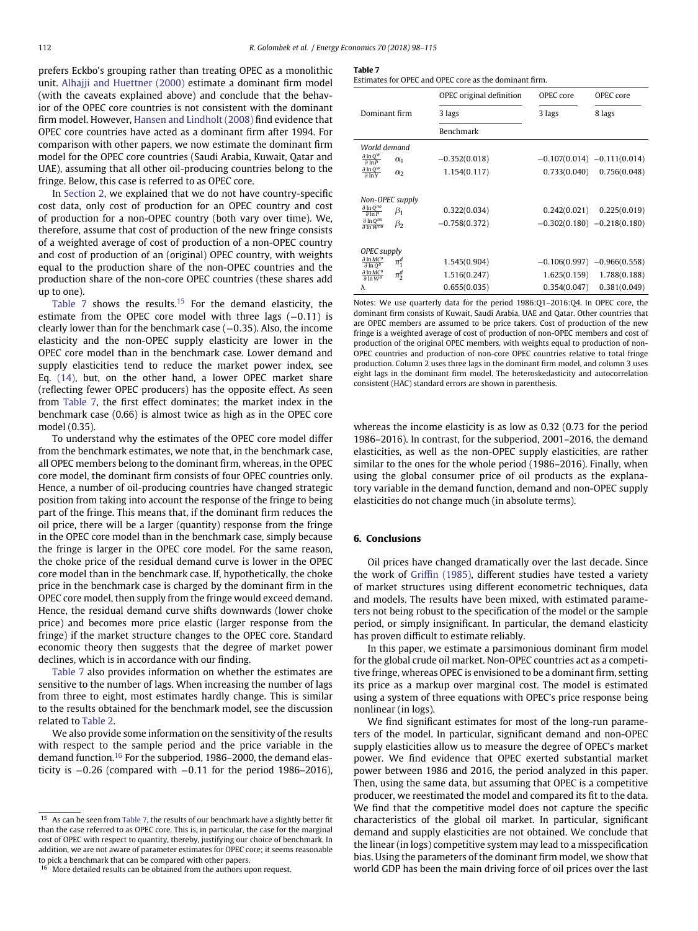prefers Eckbo's grouping rather than treating OPEC as a monolithic unit. [Alhajji and Huettner \(2000\)](#page-16-6) estimate a dominant firm model (with the caveats explained above) and conclude that the behavior of the OPEC core countries is not consistent with the dominant firm model. However, [Hansen and Lindholt \(2008\)](#page-16-7) find evidence that OPEC core countries have acted as a dominant firm after 1994. For comparison with other papers, we now estimate the dominant firm model for the OPEC core countries (Saudi Arabia, Kuwait, Qatar and UAE), assuming that all other oil-producing countries belong to the fringe. Below, this case is referred to as OPEC core.

In [Section 2,](#page-1-0) we explained that we do not have country-specific cost data, only cost of production for an OPEC country and cost of production for a non-OPEC country (both vary over time). We, therefore, assume that cost of production of the new fringe consists of a weighted average of cost of production of a non-OPEC country and cost of production of an (original) OPEC country, with weights equal to the production share of the non-OPEC countries and the production share of the non-core OPEC countries (these shares add up to one).

[Table 7](#page-14-1) shows the results.[15](#page-14-2) For the demand elasticity, the estimate from the OPEC core model with three lags (−0.11) is clearly lower than for the benchmark case (−0*.*35). Also, the income elasticity and the non-OPEC supply elasticity are lower in the OPEC core model than in the benchmark case. Lower demand and supply elasticities tend to reduce the market power index, see Eq. [\(14\),](#page-6-8) but, on the other hand, a lower OPEC market share (reflecting fewer OPEC producers) has the opposite effect. As seen from [Table 7,](#page-14-1) the first effect dominates; the market index in the benchmark case (0.66) is almost twice as high as in the OPEC core model (0.35).

To understand why the estimates of the OPEC core model differ from the benchmark estimates, we note that, in the benchmark case, all OPEC members belong to the dominant firm, whereas, in the OPEC core model, the dominant firm consists of four OPEC countries only. Hence, a number of oil-producing countries have changed strategic position from taking into account the response of the fringe to being part of the fringe. This means that, if the dominant firm reduces the oil price, there will be a larger (quantity) response from the fringe in the OPEC core model than in the benchmark case, simply because the fringe is larger in the OPEC core model. For the same reason, the choke price of the residual demand curve is lower in the OPEC core model than in the benchmark case. If, hypothetically, the choke price in the benchmark case is charged by the dominant firm in the OPEC core model, then supply from the fringe would exceed demand. Hence, the residual demand curve shifts downwards (lower choke price) and becomes more price elastic (larger response from the fringe) if the market structure changes to the OPEC core. Standard economic theory then suggests that the degree of market power declines, which is in accordance with our finding.

[Table 7](#page-14-1) also provides information on whether the estimates are sensitive to the number of lags. When increasing the number of lags from three to eight, most estimates hardly change. This is similar to the results obtained for the benchmark model, see the discussion related to [Table 2.](#page-11-2)

We also provide some information on the sensitivity of the results with respect to the sample period and the price variable in the demand function[.16](#page-14-3) For the subperiod, 1986–2000, the demand elasticity is <sup>−</sup>0*.*26 (compared with <sup>−</sup>0*.*11 for the period 1986–2016),

#### <span id="page-14-1"></span>**Table 7**

| Estimates for OPEC and OPEC core as the dominant firm. |  |
|--------------------------------------------------------|--|
|--------------------------------------------------------|--|

|                                                                                             | OPEC original definition | OPEC core    | OPEC core                     |
|---------------------------------------------------------------------------------------------|--------------------------|--------------|-------------------------------|
| Dominant firm                                                                               | 3 lags                   | 3 lags       | 8 lags                        |
|                                                                                             | Benchmark                |              |                               |
| World demand                                                                                |                          |              |                               |
| $\partial \ln Q^W$<br>$\alpha_1$<br>$\partial \overline{ln P}$                              | $-0.352(0.018)$          |              | $-0.107(0.014) -0.111(0.014)$ |
| $\partial \ln Q^W$<br>$\alpha_2$<br>$\partial \ln Y$                                        | 1.154(0.117)             | 0.733(0.040) | 0.756(0.048)                  |
| Non-OPEC supply                                                                             |                          |              |                               |
| $\partial \ln Q^{no}$<br>$\beta_1$<br>$\partial \ln P$                                      | 0.322(0.034)             | 0.242(0.021) | 0.225(0.019)                  |
| $\partial \ln Q^{no}$<br>$\beta_2$<br>$\partial \ln W^{no}$                                 | $-0.758(0.372)$          |              | $-0.302(0.180) -0.218(0.180)$ |
| OPEC supply                                                                                 |                          |              |                               |
| $\partial \ln MC^o$<br>$\pi^d_1$<br>$\frac{\partial \ln 0^{\circ}}{\partial \ln 0^{\circ}}$ | 1.545(0.904)             |              | $-0.106(0.997) -0.966(0.558)$ |
| $\partial \ln MC^o$<br>$\pi_2^d$<br>$\partial \ln W$ <sup>o</sup>                           | 1.516(0.247)             | 1.625(0.159) | 1.788(0.188)                  |
| λ                                                                                           | 0.655(0.035)             | 0.354(0.047) | 0.381(0.049)                  |

Notes: We use quarterly data for the period 1986:Q1–2016:Q4. In OPEC core, the dominant firm consists of Kuwait, Saudi Arabia, UAE and Qatar. Other countries that are OPEC members are assumed to be price takers. Cost of production of the new fringe is a weighted average of cost of production of non-OPEC members and cost of production of the original OPEC members, with weights equal to production of non-OPEC countries and production of non-core OPEC countries relative to total fringe production. Column 2 uses three lags in the dominant firm model, and column 3 uses eight lags in the dominant firm model. The heteroskedasticity and autocorrelation consistent (HAC) standard errors are shown in parenthesis.

whereas the income elasticity is as low as 0.32 (0.73 for the period 1986–2016). In contrast, for the subperiod, 2001–2016, the demand elasticities, as well as the non-OPEC supply elasticities, are rather similar to the ones for the whole period (1986–2016). Finally, when using the global consumer price of oil products as the explanatory variable in the demand function, demand and non-OPEC supply elasticities do not change much (in absolute terms).

## <span id="page-14-0"></span>**6. Conclusions**

Oil prices have changed dramatically over the last decade. Since the work of [Griffin \(1985\),](#page-16-5) different studies have tested a variety of market structures using different econometric techniques, data and models. The results have been mixed, with estimated parameters not being robust to the specification of the model or the sample period, or simply insignificant. In particular, the demand elasticity has proven difficult to estimate reliably.

In this paper, we estimate a parsimonious dominant firm model for the global crude oil market. Non-OPEC countries act as a competitive fringe, whereas OPEC is envisioned to be a dominant firm, setting its price as a markup over marginal cost. The model is estimated using a system of three equations with OPEC's price response being nonlinear (in logs).

We find significant estimates for most of the long-run parameters of the model. In particular, significant demand and non-OPEC supply elasticities allow us to measure the degree of OPEC's market power. We find evidence that OPEC exerted substantial market power between 1986 and 2016, the period analyzed in this paper. Then, using the same data, but assuming that OPEC is a competitive producer, we reestimated the model and compared its fit to the data. We find that the competitive model does not capture the specific characteristics of the global oil market. In particular, significant demand and supply elasticities are not obtained. We conclude that the linear (in logs) competitive system may lead to a misspecification bias. Using the parameters of the dominant firm model, we show that world GDP has been the main driving force of oil prices over the last

<span id="page-14-2"></span> $15$  As can be seen from [Table 7,](#page-14-1) the results of our benchmark have a slightly better fit than the case referred to as OPEC core. This is, in particular, the case for the marginal cost of OPEC with respect to quantity, thereby, justifying our choice of benchmark. In addition, we are not aware of parameter estimates for OPEC core; it seems reasonable to pick a benchmark that can be compared with other papers.

<span id="page-14-3"></span><sup>&</sup>lt;sup>16</sup> More detailed results can be obtained from the authors upon request.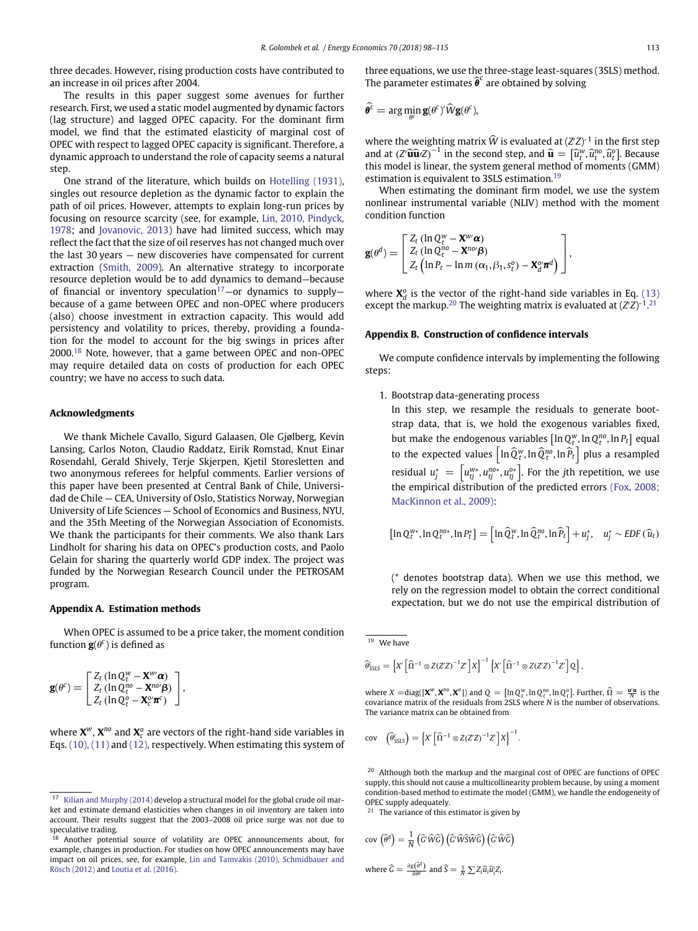three decades. However, rising production costs have contributed to an increase in oil prices after 2004.

The results in this paper suggest some avenues for further research. First, we used a static model augmented by dynamic factors (lag structure) and lagged OPEC capacity. For the dominant firm model, we find that the estimated elasticity of marginal cost of OPEC with respect to lagged OPEC capacity is significant. Therefore, a dynamic approach to understand the role of capacity seems a natural step.

One strand of the literature, which builds on [Hotelling \(1931\),](#page-16-33) singles out resource depletion as the dynamic factor to explain the path of oil prices. However, attempts to explain long-run prices by focusing on resource scarcity (see, for example, Lin, 2010, Pindyck, 1978; and [Jovanovic, 2013\) have had limited success, which may](#page-17-13) reflect the fact that the size of oil reserves has not changed much over the last 30 years — new discoveries have compensated for current extraction [\(Smith, 2009\)](#page-17-4). An alternative strategy to incorporate resource depletion would be to add dynamics to demand—because of financial or inventory speculation<sup>17</sup>-or dynamics to supplybecause of a game between OPEC and non-OPEC where producers (also) choose investment in extraction capacity. This would add persistency and volatility to prices, thereby, providing a foundation for the model to account for the big swings in prices after 2000.[18](#page-15-3) Note, however, that a game between OPEC and non-OPEC may require detailed data on costs of production for each OPEC country; we have no access to such data.

#### **Acknowledgments**

We thank Michele Cavallo, Sigurd Galaasen, Ole Gjølberg, Kevin Lansing, Carlos Noton, Claudio Raddatz, Eirik Romstad, Knut Einar Rosendahl, Gerald Shively, Terje Skjerpen, Kjetil Storesletten and two anonymous referees for helpful comments. Earlier versions of this paper have been presented at Central Bank of Chile, Universidad de Chile — CEA, University of Oslo, Statistics Norway, Norwegian University of Life Sciences — School of Economics and Business, NYU, and the 35th Meeting of the Norwegian Association of Economists. We thank the participants for their comments. We also thank Lars Lindholt for sharing his data on OPEC's production costs, and Paolo Gelain for sharing the quarterly world GDP index. The project was funded by the Norwegian Research Council under the PETROSAM program.

## <span id="page-15-0"></span>**Appendix A. Estimation methods**

When OPEC is assumed to be a price taker, the moment condition function  $\mathbf{g}(\theta^c)$  is defined as

$$
\mathbf{g}(\theta^c) = \begin{bmatrix} Z_t \left( \ln Q_t^w - \mathbf{X}^w \boldsymbol{\alpha} \right) \\ Z_t \left( \ln Q_t^{n_0} - \mathbf{X}^{n_0} \boldsymbol{\beta} \right) \\ Z_t \left( \ln Q_t^o - \mathbf{X}_c^o \boldsymbol{\pi}^c \right) \end{bmatrix},
$$

where **X***w*, **X***no* and **X***<sup>o</sup> <sup>c</sup>* are vectors of the right-hand side variables in Eqs. [\(10\), \(11\)](#page-6-4) and [\(12\),](#page-6-6) respectively. When estimating this system of three equations, we use the three-stage least-squares (3SLS) method. The parameter estimates  $\widehat{\boldsymbol{\theta}}^c$  are obtained by solving

$$
\widehat{\theta^c} = \arg\min_{\theta^c} \mathbf{g}(\theta^c)' \widehat{W} \mathbf{g}(\theta^c),
$$

where the weighting matrix *W* is evaluated at (*Z Z*)-1 in the first step and at  $(Z'\widehat{\mathbf{u}}\widehat{\mathbf{u}}Z)^{-1}$  in the second step, and  $\widehat{\mathbf{u}} = [\widehat{u}_t^w, \widehat{u}_t^w, \widehat{u}_t^o]$ . Because this model is linear, the system general method of moments (GMM) estimation is equivalent to 3SLS estimation.[19](#page-15-4)

When estimating the dominant firm model, we use the system nonlinear instrumental variable (NLIV) method with the moment condition function

$$
\mathbf{g}(\theta^d) = \begin{bmatrix} Z_t \left( \ln Q_t^{\mathsf{w}} - \mathbf{X}^{\mathsf{w} \mathsf{w}} \boldsymbol{\alpha} \right) \\ Z_t \left( \ln Q_t^{\mathsf{no}} - \mathbf{X}^{\mathsf{no} \mathsf{w}} \boldsymbol{\beta} \right) \\ Z_t \left( \ln P_t - \ln m \left( \alpha_1, \beta_1, s_t^o \right) - \mathbf{X}_d^{\mathsf{o} \mathsf{w}} \boldsymbol{\pi}^d \right) \end{bmatrix},
$$

where  $X_d^o$  is the vector of the right-hand side variables in Eq. [\(13\)](#page-6-5) except the markup.<sup>20</sup> The weighting matrix is evaluated at (*Z*'Z)<sup>-1</sup>.<sup>[21](#page-15-6)</sup>

#### <span id="page-15-1"></span>**Appendix B. Construction of confidence intervals**

We compute confidence intervals by implementing the following steps:

1. Bootstrap data-generating process

In this step, we resample the residuals to generate bootstrap data, that is, we hold the exogenous variables fixed, but make the endogenous variables  $[\ln Q_t^w, \ln Q_t^m, \ln P_t]$  equal to the expected values  $\left[\ln \widehat{Q}_{t}^{w}, \ln \widehat{Q}_{t}^{no}, \ln \widehat{P}_{t}\right]$  plus a resampled residual  $u_j^* = \left[u_{ij}^{w*}, u_{ij}^{no*}, u_{ij}^{o*}\right]$ . For the *j*th repetition, we use [the empirical distribution of the predicted errors](#page-16-36) (Fox, 2008; MacKinnon et al., 2009):

$$
\left[\ln Q_t^{w*},\ln Q_t^{n o*},\ln P_t^*\right] = \left[\ln \widehat{Q}_t^{w},\ln \widehat{Q}_t^{n o},\ln \widehat{P}_t\right] + u_j^*, \quad u_j^* \sim \text{EDF}\left(\widehat{u}_t\right)
$$

(\* denotes bootstrap data). When we use this method, we rely on the regression model to obtain the correct conditional expectation, but we do not use the empirical distribution of

<span id="page-15-4"></span> $\overline{19}$  We have

$$
\widehat{\theta}_{3SLS}^c = \left\{ X' \left[ \widehat{\Omega}^{-1} \otimes Z(Z'Z)^{-1}Z' \right] X \right\}^{-1} \left\{ X' \left[ \widehat{\Omega}^{-1} \otimes Z(Z'Z)^{-1}Z' \right] Q \right\},
$$

where  $X = diag([X^w, X^{no}, X^o])$  and  $Q = [\ln Q_t^w, \ln Q_t^{no}, \ln Q_t^o]$ . Further,  $\widehat{\Omega} = \frac{\mathbf{u}'\mathbf{u}}{N}$  is the covariance matrix of the residuals from 2SLS where *N* is the number of observations. The variance matrix can be obtained from

$$
\text{cov}\quad \left(\widehat{\theta}_{3SLS}^c\right) = \left\{X'\left[\widehat{\Omega}^{-1}\otimes Z(Z'Z)^{-1}Z'\right]X\right\}^{-1}.
$$

<span id="page-15-5"></span><sup>20</sup> Although both the markup and the marginal cost of OPEC are functions of OPEC supply, this should not cause a multicollinearity problem because, by using a moment condition-based method to estimate the model (GMM), we handle the endogeneity of OPEC supply adequately.

<span id="page-15-6"></span><sup>21</sup> The variance of this estimator is given by

$$
cov\left(\widehat{\theta}^d\right) = \frac{1}{N} \left(\widehat{G}'\widehat{W}\widehat{G}\right) \left(\widehat{G}'\widehat{W}\widehat{S}\widehat{W}\widehat{G}\right) \left(\widehat{G}'\widehat{W}\widehat{G}\right)
$$
  
where  $\widehat{G} = \frac{\partial g(\widehat{\theta}^d)}{\partial \theta^d}$  and  $\widehat{S} = \frac{1}{N} \sum Z_i \widehat{u}_i \widehat{u}_i^t Z_i$ .

<span id="page-15-2"></span><sup>17</sup> [Kilian and Murphy \(2014\)](#page-16-35) develop a structural model for the global crude oil market and estimate demand elasticities when changes in oil inventory are taken into account. Their results suggest that the 2003–2008 oil price surge was not due to speculative trading.<br><sup>18</sup> Another notent

<span id="page-15-3"></span>Another potential source of volatility are OPEC announcements about, for example, changes in production. For studies on how OPEC announcements may have impact on oil prices, see, for example, [Lin and Tamvakis \(2010\), Schmidbauer and](#page-17-14) Rösch (2012) and [Loutia et al. \(2016\).](#page-17-15)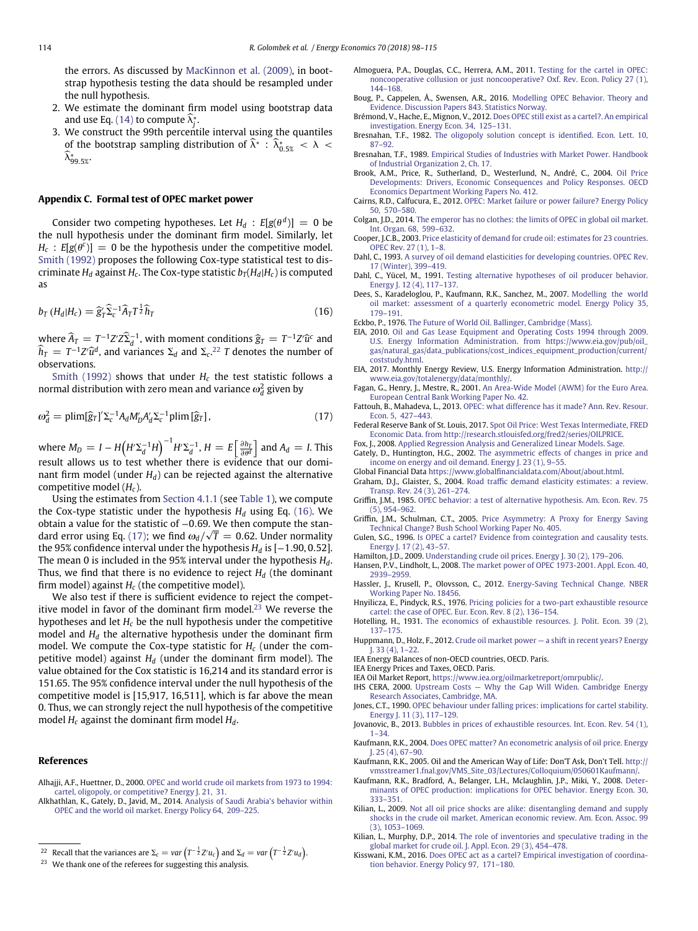the errors. As discussed by [MacKinnon et al. \(2009\),](#page-17-16) in bootstrap hypothesis testing the data should be resampled under the null hypothesis.

- 2. We estimate the dominant firm model using bootstrap data and use Eq.  $(14)$  to compute  $\lambda^*_j$ .
- 3. We construct the 99th percentile interval using the quantiles  $\alpha$ <sup>6</sup> the bootstrap sampling distribution of  $\lambda^*$  :  $\lambda^*_{0.5\%}$  <  $\lambda$  < *k*∗ <sup>99</sup>*.*5%.

#### <span id="page-16-26"></span>**Appendix C. Formal test of OPEC market power**

Consider two competing hypotheses. Let  $H_d$ :  $E[g(\theta^d)] = 0$  be the null hypothesis under the dominant firm model. Similarly, let  $H_c$ :  $E[g(\theta^c)] = 0$  be the hypothesis under the competitive model. [Smith \(1992\)](#page-17-10) proposes the following Cox-type statistical test to discriminate  $H_d$  against  $H_c$ . The Cox-type statistic  $b_T(H_d|H_c)$  is computed as

<span id="page-16-38"></span>
$$
b_T (H_d | H_c) = \widehat{g}_T^{\prime} \widehat{\Sigma}_c^{-1} \widehat{A}_T T^{\frac{1}{2}} \widehat{h}_T
$$
\n(16)

where  $\widehat{A}_T = T^{-1}Z'Z\widehat{Z}_d^{-1}$ , with moment conditions  $\widehat{g}_T = T^{-1}Z'\widehat{u}^c$  and  $h_T = T^{-1}Z^r\hat{u}^d$ , and variances  $\Sigma_d$  and  $\Sigma_c$ .<sup>[22](#page-16-37)</sup> *T* denotes the number of observations.

[Smith \(1992\)](#page-17-10) shows that under  $H_c$  the test statistic follows a normal distribution with zero mean and variance  $\omega_d^2$  given by

$$
\omega_d^2 = \text{plim}[\hat{g}_T]' \Sigma_c^{-1} A_d M'_D A'_d \Sigma_c^{-1} \text{plim}[\hat{g}_T],\tag{17}
$$

where  $M_D = I - H \left( H' \Sigma_d^{-1} H \right)^{-1} H' \Sigma_d^{-1}, H = E \left[ \frac{\partial h_I}{\partial \theta^d} \right]$  $\int$  and  $A_d = I$ . This result allows us to test whether there is evidence that our dominant firm model (under  $H_d$ ) can be rejected against the alternative competitive model (*Hc*).

Using the estimates from [Section 4.1.1](#page-7-0) (see [Table 1\)](#page-7-1), we compute the Cox-type statistic under the hypothesis  $H_d$  using Eq. [\(16\).](#page-16-38) We obtain a value for the statistic of <sup>−</sup>0*.*69. We then compute the stan-dard error using Eq. [\(17\);](#page-16-39) we find  $\omega_d/\sqrt{T} = 0.62$ . Under normality the 95% confidence interval under the hypothesis  $H_d$  is  $[-1.90, 0.52]$ . The mean 0 is included in the 95% interval under the hypothesis *Hd*. Thus, we find that there is no evidence to reject  $H_d$  (the dominant firm model) against *Hc* (the competitive model).

We also test if there is sufficient evidence to reject the competitive model in favor of the dominant firm model. $^{23}$  $^{23}$  $^{23}$  We reverse the hypotheses and let *Hc* be the null hypothesis under the competitive model and *Hd* the alternative hypothesis under the dominant firm model. We compute the Cox-type statistic for *Hc* (under the competitive model) against  $H<sub>d</sub>$  (under the dominant firm model). The value obtained for the Cox statistic is 16,214 and its standard error is 151.65. The 95% confidence interval under the null hypothesis of the competitive model is [15,917, 16,511], which is far above the mean 0. Thus, we can strongly reject the null hypothesis of the competitive model *Hc* against the dominant firm model *Hd*.

#### **References**

- <span id="page-16-6"></span>Alhajji, A.F., Huettner, D., 2000. [OPEC and world crude oil markets from 1973 to 1994:](http://refhub.elsevier.com/S0140-9883(17)30401-2/rf0005) cartel, oligopoly, or competitive? Energy J. 21, 31.
- <span id="page-16-32"></span><span id="page-16-8"></span>Alkhathlan, K., Gately, D., Javid, M., 2014. Analysis of Saudi Arabia's behavior within [OPEC and the world oil market. Energy Policy 64, 209–225.](http://refhub.elsevier.com/S0140-9883(17)30401-2/rf0010)
- Almoguera, P.A., Douglas, C.C., Herrera, A.M., 2011. Testing for the cartel in OPEC: [noncooperative collusion or just noncooperative? Oxf. Rev. Econ. Policy 27 \(1\),](http://refhub.elsevier.com/S0140-9883(17)30401-2/rf0015) 144–168.
- <span id="page-16-9"></span>Boug, P., Cappelen, Å., Swensen, A.R., 2016. Modelling OPEC Behavior. Theory and [Evidence. Discussion Papers 843. Statistics Norway.](http://refhub.elsevier.com/S0140-9883(17)30401-2/rf0020)
- <span id="page-16-31"></span>Brémond, V., Hache, E., Mignon, V., 2012. [Does OPEC still exist as a cartel?. An empirical](http://refhub.elsevier.com/S0140-9883(17)30401-2/rf0025) investigation. Energy Econ. 34, 125–131.
- <span id="page-16-13"></span>Bresnahan, T.F., 1982. [The oligopoly solution concept is identified. Econ. Lett. 10,](http://refhub.elsevier.com/S0140-9883(17)30401-2/rf0030) 87–92.
- <span id="page-16-14"></span>Bresnahan, T.F., 1989. [Empirical Studies of Industries with Market Power. Handbook](http://refhub.elsevier.com/S0140-9883(17)30401-2/rf0035) of Industrial Organization 2, Ch. 17.
- Brook, A.M., Price, R., Sutherland, D., Westerlund, N., André, C., 2004. Oil Price [Developments: Drivers, Economic Consequences and Policy Responses. OECD](http://refhub.elsevier.com/S0140-9883(17)30401-2/rf0040) Economics Department Working Papers No. 412.
- Cairns, R.D., Calfucura, E., 2012. [OPEC: Market failure or power failure? Energy Policy](http://refhub.elsevier.com/S0140-9883(17)30401-2/rf0045) 50, 570–580.
- Colgan, J.D., 2014. [The emperor has no clothes: the limits of OPEC in global oil market.](http://refhub.elsevier.com/S0140-9883(17)30401-2/rf0050) Int. Organ. 68, 599–632.
- <span id="page-16-2"></span>Cooper, J.C.B., 2003. [Price elasticity of demand for crude oil: estimates for 23 countries.](http://refhub.elsevier.com/S0140-9883(17)30401-2/rf0055) OPEC Rev. 27 (1), 1–8.
- <span id="page-16-1"></span>Dahl, C., 1993. [A survey of oil demand elasticities for developing countries. OPEC Rev.](http://refhub.elsevier.com/S0140-9883(17)30401-2/rf0060) 17 (Winter), 399–419.
- <span id="page-16-24"></span>Dahl, C., Yücel, M., 1991. [Testing alternative hypotheses of oil producer behavior.](http://refhub.elsevier.com/S0140-9883(17)30401-2/rf0065) Energy J. 12 (4), 117–137.
- Dees, S., Karadeloglou, P., Kaufmann, R.K., Sanchez, M., 2007. Modelling the world [oil market: assessment of a quarterly econometric model. Energy Policy 35,](http://refhub.elsevier.com/S0140-9883(17)30401-2/rf0070) 179–191.
- <span id="page-16-30"></span>Eckbo, P., 1976. [The Future of World Oil. Ballinger, Cambridge \(Mass\).](http://refhub.elsevier.com/S0140-9883(17)30401-2/rf0075)
- <span id="page-16-28"></span>EIA, 2010. Oil and Gas Lease Equipment and Operating Costs 1994 through 2009. [U.S. Energy Information Administration. from https://www.eia.gov/pub/oil\\_](http://refhub.elsevier.com/S0140-9883(17)30401-2/rf0080) [gas/natural\\_gas/data\\_publications/cost\\_indices\\_equipment\\_production/current/](https://www.eia.gov/pub/oil_gas/natural_gas/data_publications/cost_indices_equipment_production/current/coststudy.html) [coststudy.html.](https://www.eia.gov/pub/oil_gas/natural_gas/data_publications/cost_indices_equipment_production/current/coststudy.html)
- <span id="page-16-16"></span>EIA, 2017. Monthly Energy Review, U.S. Energy Information Administration. [http://](http://www.eia.gov/totalenergy/data/monthly/) [www.eia.gov/totalenergy/data/monthly/.](http://www.eia.gov/totalenergy/data/monthly/)
- <span id="page-16-22"></span>Fagan, G., Henry, J., Mestre, R., 2001. [An Area-Wide Model \(AWM\) for the Euro Area.](http://refhub.elsevier.com/S0140-9883(17)30401-2/rf0090) European Central Bank Working Paper No. 42.
- <span id="page-16-39"></span><span id="page-16-11"></span>Fattouh, B., Mahadeva, L., 2013. [OPEC: what difference has it made? Ann. Rev. Resour.](http://refhub.elsevier.com/S0140-9883(17)30401-2/rf0095) Econ. 5, 427–443.
- <span id="page-16-15"></span>Federal Reserve Bank of St. Louis, 2017. Spot Oil Price: West Texas Intermediate, FRED [Economic Data. from http://research.stlouisfed.org/fred2/series/OILPRICE.](http://refhub.elsevier.com/S0140-9883(17)30401-2/rf0100)
- <span id="page-16-36"></span>Fox, J., 2008. [Applied Regression Analysis and Generalized Linear Models. Sage.](http://refhub.elsevier.com/S0140-9883(17)30401-2/rf0105) Gately, D., Huntington, H.G., 2002. The asymmetric effects of changes in price and
- <span id="page-16-3"></span>[income on energy and oil demand. Energy J. 23 \(1\), 9–55.](http://refhub.elsevier.com/S0140-9883(17)30401-2/rf0110)
- <span id="page-16-23"></span>Global Financial Data [https://www.globalfinancialdata.com/About/about.html.](https://www.globalfinancialdata.com/About/about.html)
- <span id="page-16-4"></span>Graham, D.J., Glaister, S., 2004. [Road traffic demand elasticity estimates: a review.](http://refhub.elsevier.com/S0140-9883(17)30401-2/rf0115) Transp. Rev. 24 (3), 261–274. Griffin, J.M., 1985. [OPEC behavior: a test of alternative hypothesis. Am. Econ. Rev. 75](http://refhub.elsevier.com/S0140-9883(17)30401-2/rf0120)
- <span id="page-16-5"></span>(5), 954–962. Griffin, J.M., Schulman, C.T., 2005. Price Asymmetry: A Proxy for Energy Saving
- [Technical Change? Bush School Working Paper No. 405.](http://refhub.elsevier.com/S0140-9883(17)30401-2/rf0125)
- Gulen, S.G., 1996. [Is OPEC a cartel? Evidence from cointegration and causality tests.](http://refhub.elsevier.com/S0140-9883(17)30401-2/rf0130) Energy J. 17 (2), 43–57.
- <span id="page-16-0"></span>Hamilton, J.D., 2009. [Understanding crude oil prices. Energy J. 30 \(2\), 179–206.](http://refhub.elsevier.com/S0140-9883(17)30401-2/rf0135)
- <span id="page-16-7"></span>Hansen, P.V., Lindholt, L., 2008. [The market power of OPEC 1973-2001. Appl. Econ. 40,](http://refhub.elsevier.com/S0140-9883(17)30401-2/rf0140) 2939–2959.
- <span id="page-16-25"></span>Hassler, J., Krusell, P., Olovsson, C., 2012. [Energy-Saving Technical Change. NBER](http://refhub.elsevier.com/S0140-9883(17)30401-2/rf0145) Working Paper No. 18456.
- <span id="page-16-29"></span>Hnyilicza, E., Pindyck, R.S., 1976. Pricing policies for a two-part exhaustible resource [cartel: the case of OPEC. Eur. Econ. Rev. 8 \(2\), 136–154.](http://refhub.elsevier.com/S0140-9883(17)30401-2/rf0150)
- <span id="page-16-33"></span>Hotelling, H., 1931. [The economics of exhaustible resources. J. Polit. Econ. 39 \(2\),](http://refhub.elsevier.com/S0140-9883(17)30401-2/rf0155) 137–175.
- Huppmann, D., Holz, F., 2012. [Crude oil market power a shift in recent years? Energy](http://refhub.elsevier.com/S0140-9883(17)30401-2/rf0160) J. 33 (4), 1–22.
- <span id="page-16-27"></span>IEA Energy Balances of non-OECD countries, OECD. Paris.
- IEA Energy Prices and Taxes, OECD. Paris.
- <span id="page-16-21"></span>IEA Oil Market Report, [https://www.iea.org/oilmarketreport/omrpublic/.](https://www.iea.org/oilmarketreport/omrpublic/)
- <span id="page-16-17"></span>IHS CERA, 2000. [Upstream Costs — Why the Gap Will Widen. Cambridge Energy](http://refhub.elsevier.com/S0140-9883(17)30401-2/rf0165) Research Associates, Cambridge, MA.
- <span id="page-16-10"></span>Jones, C.T., 1990. [OPEC behaviour under falling prices: implications for cartel stability.](http://refhub.elsevier.com/S0140-9883(17)30401-2/rf0170) Energy J. 11 (3), 117–129.
- <span id="page-16-34"></span>Jovanovic, B., 2013. [Bubbles in prices of exhaustible resources. Int. Econ. Rev. 54 \(1\),](http://refhub.elsevier.com/S0140-9883(17)30401-2/rf0175) 1–34.
- <span id="page-16-18"></span>Kaufmann, R.K., 2004. [Does OPEC matter? An econometric analysis of oil price. Energy](http://refhub.elsevier.com/S0140-9883(17)30401-2/rf0180) J. 25 (4), 67–90.
- <span id="page-16-20"></span>Kaufmann, R.K., 2005. Oil and the American Way of Life: Don'T Ask, Don't Tell. [http://](http://vmsstreamer1.fnal.gov/VMS_Site_03/Lectures/Colloquium/050601Kaufmann/) [vmsstreamer1.fnal.gov/VMS\\_Site\\_03/Lectures/Colloquium/050601Kaufmann/.](http://vmsstreamer1.fnal.gov/VMS_Site_03/Lectures/Colloquium/050601Kaufmann/)
- <span id="page-16-19"></span>Kaufmann, R.K., Bradford, A., Belanger, L.H., Mclaughlin, J.P., Miki, Y., 2008. Deter[minants of OPEC production: implications for OPEC behavior. Energy Econ. 30,](http://refhub.elsevier.com/S0140-9883(17)30401-2/rf0190) 333–351.
- <span id="page-16-12"></span>Kilian, L., 2009. Not all oil price shocks are alike: disentangling demand and supply [shocks in the crude oil market. American economic review. Am. Econ. Assoc. 99](http://refhub.elsevier.com/S0140-9883(17)30401-2/rf0195) (3), 1053–1069.
- <span id="page-16-35"></span>Kilian, L., Murphy, D.P., 2014. The role of inventories and speculative trading in the [global market for crude oil. J. Appl. Econ. 29 \(3\), 454–478.](http://refhub.elsevier.com/S0140-9883(17)30401-2/rf0200)
- Kisswani, K.M., 2016. [Does OPEC act as a cartel? Empirical investigation of coordina](http://refhub.elsevier.com/S0140-9883(17)30401-2/rf0205)tion behavior. Energy Policy 97, 171–180.

<span id="page-16-37"></span><sup>&</sup>lt;sup>22</sup> Recall that the variances are  $\Sigma_c = \nu$ ar  $(T^{-\frac{1}{2}} Z' u_c)$  and  $\Sigma_d = \nu$ ar  $(T^{-\frac{1}{2}} Z' u_d)$ .

 $23$  We thank one of the referees for suggesting this analysis.